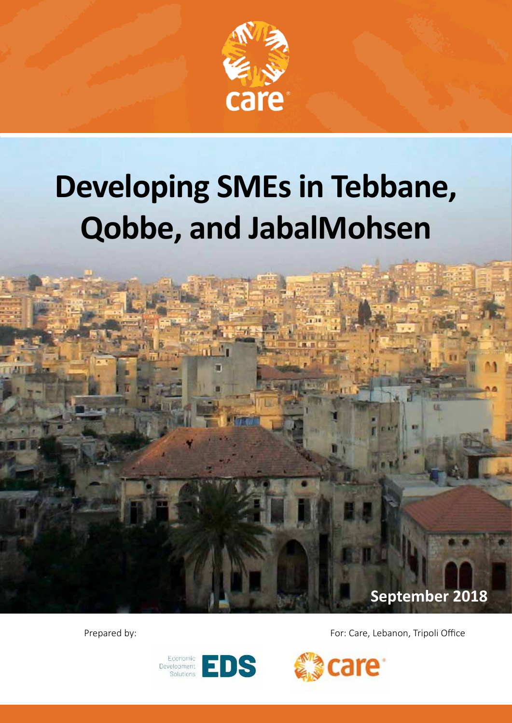

# **Developing SMEs in Tebbane, Qobbe, and JabalMohsen**

u

**September 2018**

Prepared by: The pared by: For: Care, Lebanon, Tripoli Office



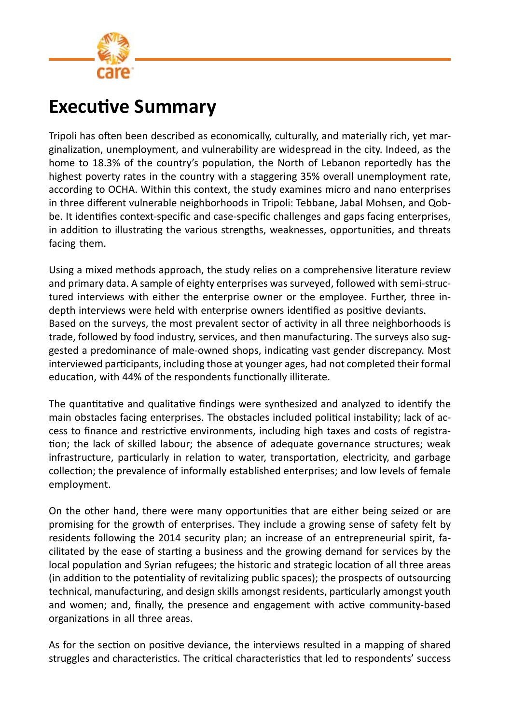

# **Executive Summary**

Tripoli has often been described as economically, culturally, and materially rich, yet marginalization, unemployment, and vulnerability are widespread in the city. Indeed, as the home to 18.3% of the country's population, the North of Lebanon reportedly has the highest poverty rates in the country with a staggering 35% overall unemployment rate, according to OCHA. Within this context, the study examines micro and nano enterprises in three different vulnerable neighborhoods in Tripoli: Tebbane, Jabal Mohsen, and Qobbe. It identifies context-specific and case-specific challenges and gaps facing enterprises, in addition to illustrating the various strengths, weaknesses, opportunities, and threats facing them.

Using a mixed methods approach, the study relies on a comprehensive literature review and primary data. A sample of eighty enterprises was surveyed, followed with semi-structured interviews with either the enterprise owner or the employee. Further, three indepth interviews were held with enterprise owners identified as positive deviants. Based on the surveys, the most prevalent sector of activity in all three neighborhoods is trade, followed by food industry, services, and then manufacturing. The surveys also suggested a predominance of male-owned shops, indicating vast gender discrepancy. Most interviewed participants, including those at younger ages, had not completed their formal education, with 44% of the respondents functionally illiterate.

The quantitative and qualitative findings were synthesized and analyzed to identify the main obstacles facing enterprises. The obstacles included political instability; lack of access to finance and restrictive environments, including high taxes and costs of registration; the lack of skilled labour; the absence of adequate governance structures; weak infrastructure, particularly in relation to water, transportation, electricity, and garbage collection; the prevalence of informally established enterprises; and low levels of female employment.

On the other hand, there were many opportunities that are either being seized or are promising for the growth of enterprises. They include a growing sense of safety felt by residents following the 2014 security plan; an increase of an entrepreneurial spirit, facilitated by the ease of starting a business and the growing demand for services by the local population and Syrian refugees; the historic and strategic location of all three areas (in addition to the potentiality of revitalizing public spaces); the prospects of outsourcing technical, manufacturing, and design skills amongst residents, particularly amongst youth and women; and, finally, the presence and engagement with active community-based organizations in all three areas.

As for the section on positive deviance, the interviews resulted in a mapping of shared struggles and characteristics. The critical characteristics that led to respondents' success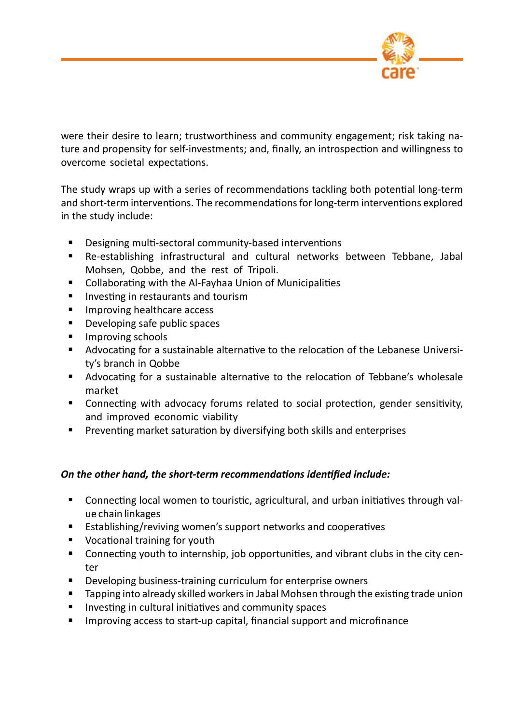

were their desire to learn; trustworthiness and community engagement; risk taking nature and propensity for self-investments; and, finally, an introspection and willingness to overcome societal expectations.

The study wraps up with a series of recommendations tackling both potential long-term and short-term interventions. The recommendations for long-term interventions explored in the study include:

- **Designing multi-sectoral community-based interventions**
- Re-establishing infrastructural and cultural networks between Tebbane, Jabal Mohsen, Qobbe, and the rest of Tripoli.
- Collaborating with the Al-Fayhaa Union of Municipalities
- **Investing in restaurants and tourism**
- **IMPROVING healthcare access**
- **Developing safe public spaces**
- **Improving schools**
- Advocating for a sustainable alternative to the relocation of the Lebanese University's branch in Qobbe
- Advocating for a sustainable alternative to the relocation of Tebbane's wholesale market
- Connecting with advocacy forums related to social protection, gender sensitivity, and improved economic viability
- **Preventing market saturation by diversifying both skills and enterprises**

#### *On the other hand, the short-term recommendations identified include:*

- Connecting local women to touristic, agricultural, and urban initiatives through value chain linkages
- **Establishing/reviving women's support networks and cooperatives**
- Vocational training for youth
- Connecting youth to internship, job opportunities, and vibrant clubs in the city center
- **Developing business-training curriculum for enterprise owners**
- **Tapping into already skilled workers in Jabal Mohsen through the existing trade union**
- Investing in cultural initiatives and community spaces
- **IMPROVING ACCESS TO START-UP CAPITAL, financial support and microfinance**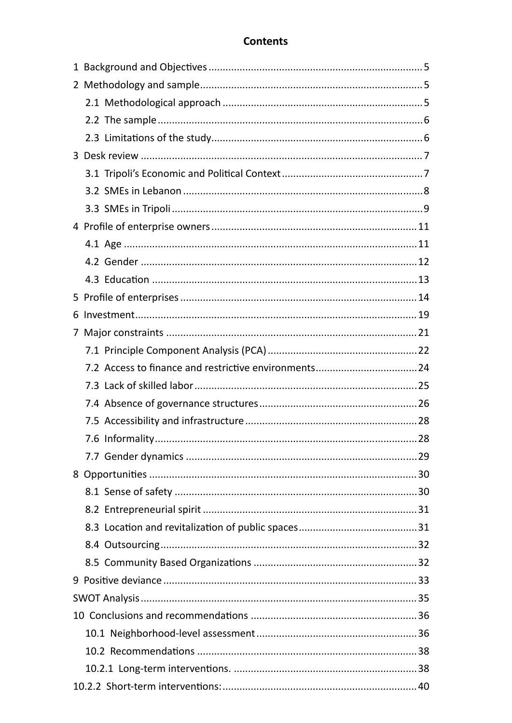# **Contents**

| 6 |  |
|---|--|
| 7 |  |
|   |  |
|   |  |
|   |  |
|   |  |
|   |  |
|   |  |
|   |  |
|   |  |
|   |  |
|   |  |
|   |  |
|   |  |
|   |  |
|   |  |
|   |  |
|   |  |
|   |  |
|   |  |
|   |  |
|   |  |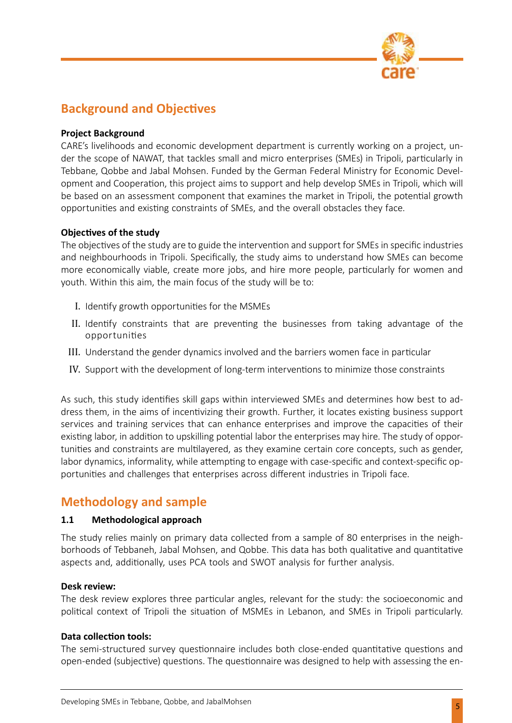

# **Background and Objectives**

#### **Project Background**

CARE's livelihoods and economic development department is currently working on a project, under the scope of NAWAT, that tackles small and micro enterprises (SMEs) in Tripoli, particularly in Tebbane, Qobbe and Jabal Mohsen. Funded by the German Federal Ministry for Economic Development and Cooperation, this project aims to support and help develop SMEs in Tripoli, which will be based on an assessment component that examines the market in Tripoli, the potential growth opportunities and existing constraints of SMEs, and the overall obstacles they face.

#### **Objectives of the study**

The objectives of the study are to guide the intervention and support for SMEs in specific industries and neighbourhoods in Tripoli. Specifically, the study aims to understand how SMEs can become more economically viable, create more jobs, and hire more people, particularly for women and youth. Within this aim, the main focus of the study will be to:

- I. Identify growth opportunities for the MSMEs
- II. Identify constraints that are preventing the businesses from taking advantage of the opportunities
- III. Understand the gender dynamics involved and the barriers women face in particular
- IV. Support with the development of long-term interventions to minimize those constraints

As such, this study identifies skill gaps within interviewed SMEs and determines how best to address them, in the aims of incentivizing their growth. Further, it locates existing business support services and training services that can enhance enterprises and improve the capacities of their existing labor, in addition to upskilling potential labor the enterprises may hire. The study of opportunities and constraints are multilayered, as they examine certain core concepts, such as gender, labor dynamics, informality, while attempting to engage with case-specific and context-specific opportunities and challenges that enterprises across different industries in Tripoli face.

# **Methodology and sample**

#### **1.1 Methodological approach**

The study relies mainly on primary data collected from a sample of 80 enterprises in the neighborhoods of Tebbaneh, Jabal Mohsen, and Qobbe. This data has both qualitative and quantitative aspects and, additionally, uses PCA tools and SWOT analysis for further analysis.

#### **Desk review:**

The desk review explores three particular angles, relevant for the study: the socioeconomic and political context of Tripoli the situation of MSMEs in Lebanon, and SMEs in Tripoli particularly.

#### **Data collection tools:**

The semi-structured survey questionnaire includes both close-ended quantitative questions and open-ended (subjective) questions. The questionnaire was designed to help with assessing the en-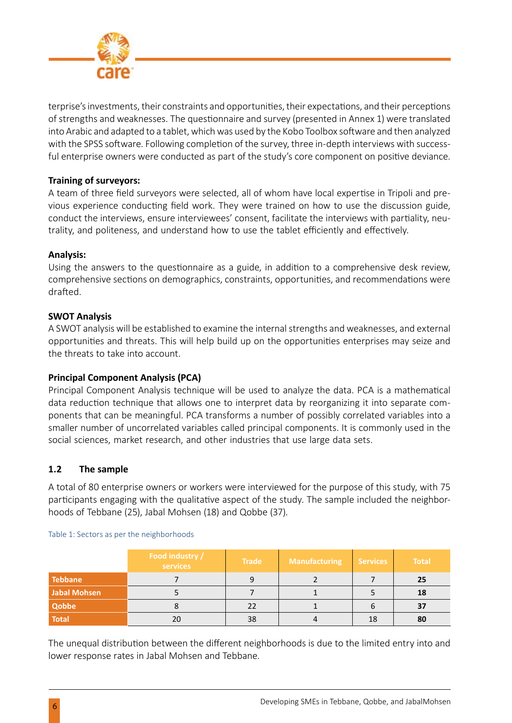

terprise's investments, their constraints and opportunities, their expectations, and their perceptions of strengths and weaknesses. The questionnaire and survey (presented in Annex 1) were translated into Arabic and adapted to a tablet, which was used by the Kobo Toolbox software and then analyzed with the SPSS software. Following completion of the survey, three in-depth interviews with successful enterprise owners were conducted as part of the study's core component on positive deviance.

#### **Training of surveyors:**

A team of three field surveyors were selected, all of whom have local expertise in Tripoli and previous experience conducting field work. They were trained on how to use the discussion guide, conduct the interviews, ensure interviewees' consent, facilitate the interviews with partiality, neutrality, and politeness, and understand how to use the tablet efficiently and effectively.

#### **Analysis:**

Using the answers to the questionnaire as a guide, in addition to a comprehensive desk review, comprehensive sections on demographics, constraints, opportunities, and recommendations were drafted.

#### **SWOT Analysis**

A SWOT analysis will be established to examine the internal strengths and weaknesses, and external opportunities and threats. This will help build up on the opportunities enterprises may seize and the threats to take into account.

#### **Principal Component Analysis (PCA)**

Principal Component Analysis technique will be used to analyze the data. PCA is a mathematical data reduction technique that allows one to interpret data by reorganizing it into separate components that can be meaningful. PCA transforms a number of possibly correlated variables into a smaller number of uncorrelated variables called principal components. It is commonly used in the social sciences, market research, and other industries that use large data sets.

#### **1.2 The sample**

A total of 80 enterprise owners or workers were interviewed for the purpose of this study, with 75 participants engaging with the qualitative aspect of the study. The sample included the neighborhoods of Tebbane (25), Jabal Mohsen (18) and Qobbe (37).

|                     | Food industry /<br>services | <b>Trade</b> | <b>Manufacturing</b> | <b>Services</b> | <b>Total</b> |
|---------------------|-----------------------------|--------------|----------------------|-----------------|--------------|
| <b>Tebbane</b>      |                             |              |                      |                 | 25           |
| <b>Jabal Mohsen</b> |                             |              |                      |                 | 18           |
| Qobbe               |                             | 22           |                      |                 | 37           |
| <b>Total</b>        | 20                          | 38           |                      | 18              | 80           |

Table 1: Sectors as per the neighborhoods

The unequal distribution between the different neighborhoods is due to the limited entry into and lower response rates in Jabal Mohsen and Tebbane.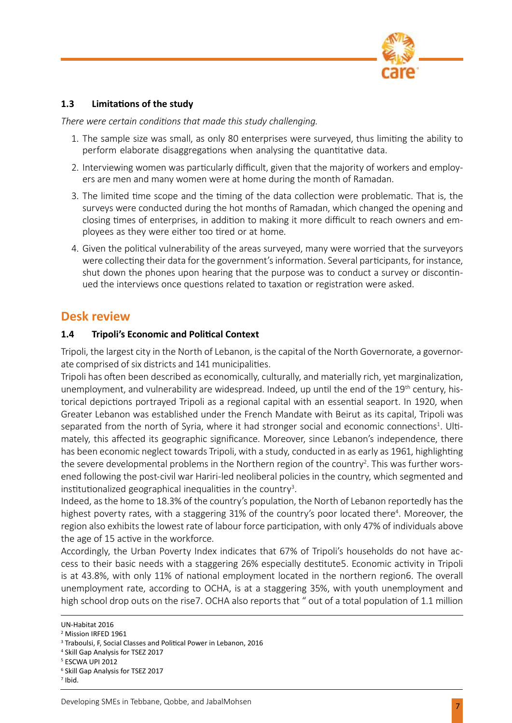

#### **1.3 Limitations of the study**

*There were certain conditions that made this study challenging.* 

- 1. The sample size was small, as only 80 enterprises were surveyed, thus limiting the ability to perform elaborate disaggregations when analysing the quantitative data.
- 2. Interviewing women was particularly difficult, given that the majority of workers and employers are men and many women were at home during the month of Ramadan.
- 3. The limited time scope and the timing of the data collection were problematic. That is, the surveys were conducted during the hot months of Ramadan, which changed the opening and closing times of enterprises, in addition to making it more difficult to reach owners and employees as they were either too tired or at home.
- 4. Given the political vulnerability of the areas surveyed, many were worried that the surveyors were collecting their data for the government's information. Several participants, for instance, shut down the phones upon hearing that the purpose was to conduct a survey or discontinued the interviews once questions related to taxation or registration were asked.

# **Desk review**

#### **1.4 Tripoli's Economic and Political Context**

Tripoli, the largest city in the North of Lebanon, is the capital of the North Governorate, a governorate comprised of six districts and 141 municipalities.

Tripoli has often been described as economically, culturally, and materially rich, yet marginalization, unemployment, and vulnerability are widespread. Indeed, up until the end of the 19<sup>th</sup> century, historical depictions portrayed Tripoli as a regional capital with an essential seaport. In 1920, when Greater Lebanon was established under the French Mandate with Beirut as its capital, Tripoli was separated from the north of Syria, where it had stronger social and economic connections<sup>1</sup>. Ultimately, this affected its geographic significance. Moreover, since Lebanon's independence, there has been economic neglect towards Tripoli, with a study, conducted in as early as 1961, highlighting the severe developmental problems in the Northern region of the country<sup>2</sup>. This was further worsened following the post-civil war Hariri-led neoliberal policies in the country, which segmented and institutionalized geographical inequalities in the country<sup>3</sup>.

Indeed, as the home to 18.3% of the country's population, the North of Lebanon reportedly has the highest poverty rates, with a staggering 31% of the country's poor located there<sup>4</sup>. Moreover, the region also exhibits the lowest rate of labour force participation, with only 47% of individuals above the age of 15 active in the workforce.

Accordingly, the Urban Poverty Index indicates that 67% of Tripoli's households do not have access to their basic needs with a staggering 26% especially destitute5. Economic activity in Tripoli is at 43.8%, with only 11% of national employment located in the northern region6. The overall unemployment rate, according to OCHA, is at a staggering 35%, with youth unemployment and high school drop outs on the rise7. OCHA also reports that " out of a total population of 1.1 million

UN-Habitat 2016

<sup>2</sup> Mission IRFED 1961

<sup>3</sup> Traboulsi, F, Social Classes and Political Power in Lebanon, 2016

<sup>4</sup> Skill Gap Analysis for TSEZ 2017

<sup>5</sup> ESCWA UPI 2012

<sup>6</sup> Skill Gap Analysis for TSEZ 2017

 $<sup>7</sup>$  Ibid.</sup>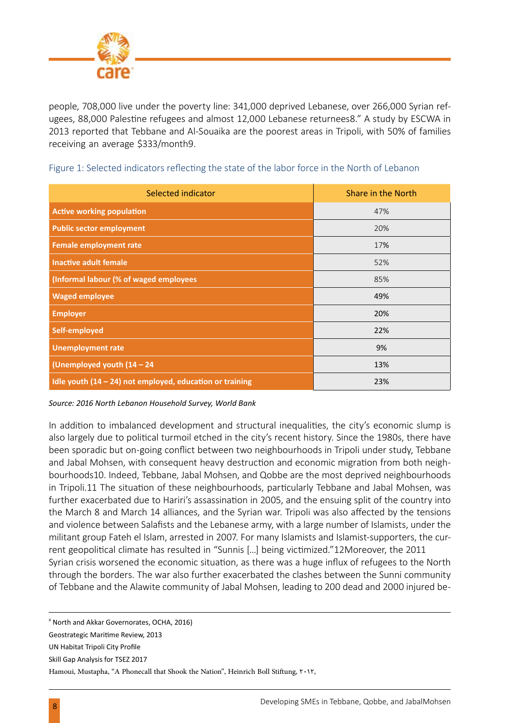

people, 708,000 live under the poverty line: 341,000 deprived Lebanese, over 266,000 Syrian refugees, 88,000 Palestine refugees and almost 12,000 Lebanese returnees8." A study by ESCWA in 2013 reported that Tebbane and Al-Souaika are the poorest areas in Tripoli, with 50% of families receiving an average \$333/month9.

| Selected indicator                                         | Share in the North |
|------------------------------------------------------------|--------------------|
| <b>Active working population</b>                           | 47%                |
| <b>Public sector employment</b>                            | 20%                |
| <b>Female employment rate</b>                              | 17%                |
| <b>Inactive adult female</b>                               | 52%                |
| (Informal labour (% of waged employees                     | 85%                |
| <b>Waged employee</b>                                      | 49%                |
| <b>Employer</b>                                            | 20%                |
| Self-employed                                              | 22%                |
| <b>Unemployment rate</b>                                   | 9%                 |
| (Unemployed youth (14 - 24                                 | 13%                |
| Idle youth $(14 - 24)$ not employed, education or training | 23%                |

#### Figure 1: Selected indicators reflecting the state of the labor force in the North of Lebanon

*Source: 2016 North Lebanon Household Survey, World Bank*

In addition to imbalanced development and structural inequalities, the city's economic slump is also largely due to political turmoil etched in the city's recent history. Since the 1980s, there have been sporadic but on-going conflict between two neighbourhoods in Tripoli under study, Tebbane and Jabal Mohsen, with consequent heavy destruction and economic migration from both neighbourhoods10. Indeed, Tebbane, Jabal Mohsen, and Qobbe are the most deprived neighbourhoods in Tripoli.11 The situation of these neighbourhoods, particularly Tebbane and Jabal Mohsen, was further exacerbated due to Hariri's assassination in 2005, and the ensuing split of the country into the March 8 and March 14 alliances, and the Syrian war. Tripoli was also affected by the tensions and violence between Salafists and the Lebanese army, with a large number of Islamists, under the militant group Fateh el Islam, arrested in 2007. For many Islamists and Islamist-supporters, the current geopolitical climate has resulted in "Sunnis […] being victimized."12Moreover, the 2011 Syrian crisis worsened the economic situation, as there was a huge influx of refugees to the North through the borders. The war also further exacerbated the clashes between the Sunni community of Tebbane and the Alawite community of Jabal Mohsen, leading to 200 dead and 2000 injured be-

<sup>&</sup>lt;sup>8</sup> North and Akkar Governorates, OCHA, 2016)

Geostrategic Maritime Review, 2013

UN Habitat Tripoli City Profile

Skill Gap Analysis for TSEZ 2017

Hamoui, Mustapha, "A Phonecall that Shook the Nation", Heinrich Boll Stiftung,  $\mathsf{r} \cdot \mathsf{N}$ ,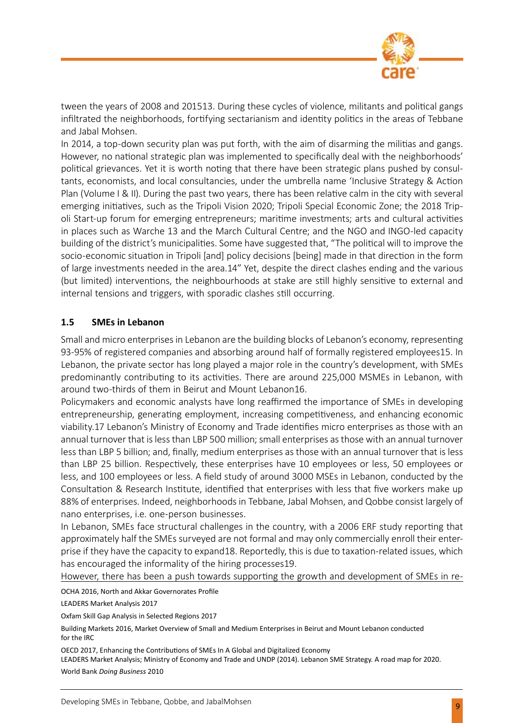

tween the years of 2008 and 201513. During these cycles of violence, militants and political gangs infiltrated the neighborhoods, fortifying sectarianism and identity politics in the areas of Tebbane and Jabal Mohsen.

In 2014, a top-down security plan was put forth, with the aim of disarming the militias and gangs. However, no national strategic plan was implemented to specifically deal with the neighborhoods' political grievances. Yet it is worth noting that there have been strategic plans pushed by consultants, economists, and local consultancies, under the umbrella name 'Inclusive Strategy & Action Plan (Volume I & II). During the past two years, there has been relative calm in the city with several emerging initiatives, such as the Tripoli Vision 2020; Tripoli Special Economic Zone; the 2018 Tripoli Start-up forum for emerging entrepreneurs; maritime investments; arts and cultural activities in places such as Warche 13 and the March Cultural Centre; and the NGO and INGO-led capacity building of the district's municipalities. Some have suggested that, "The political will to improve the socio-economic situation in Tripoli [and] policy decisions [being] made in that direction in the form of large investments needed in the area.14" Yet, despite the direct clashes ending and the various (but limited) interventions, the neighbourhoods at stake are still highly sensitive to external and internal tensions and triggers, with sporadic clashes still occurring.

#### **1.5 SMEs in Lebanon**

Small and micro enterprises in Lebanon are the building blocks of Lebanon's economy, representing 93-95% of registered companies and absorbing around half of formally registered employees15. In Lebanon, the private sector has long played a major role in the country's development, with SMEs predominantly contributing to its activities. There are around 225,000 MSMEs in Lebanon, with around two-thirds of them in Beirut and Mount Lebanon16.

Policymakers and economic analysts have long reaffirmed the importance of SMEs in developing entrepreneurship, generating employment, increasing competitiveness, and enhancing economic viability.17 Lebanon's Ministry of Economy and Trade identifies micro enterprises as those with an annual turnover that is less than LBP 500 million; small enterprises as those with an annual turnover less than LBP 5 billion; and, finally, medium enterprises as those with an annual turnover that is less than LBP 25 billion. Respectively, these enterprises have 10 employees or less, 50 employees or less, and 100 employees or less. A field study of around 3000 MSEs in Lebanon, conducted by the Consultation & Research Institute, identified that enterprises with less that five workers make up 88% of enterprises. Indeed, neighborhoods in Tebbane, Jabal Mohsen, and Qobbe consist largely of nano enterprises, i.e. one-person businesses.

In Lebanon, SMEs face structural challenges in the country, with a 2006 ERF study reporting that approximately half the SMEs surveyed are not formal and may only commercially enroll their enterprise if they have the capacity to expand18. Reportedly, this is due to taxation-related issues, which has encouraged the informality of the hiring processes19.

However, there has been a push towards supporting the growth and development of SMEs in re-

OCHA 2016, North and Akkar Governorates Profile

LEADERS Market Analysis 2017

Oxfam Skill Gap Analysis in Selected Regions 2017

Building Markets 2016, Market Overview of Small and Medium Enterprises in Beirut and Mount Lebanon conducted for the IRC

OECD 2017, Enhancing the Contributions of SMEs In A Global and Digitalized Economy

LEADERS Market Analysis; Ministry of Economy and Trade and UNDP (2014). Lebanon SME Strategy. A road map for 2020. World Bank *Doing Business* 2010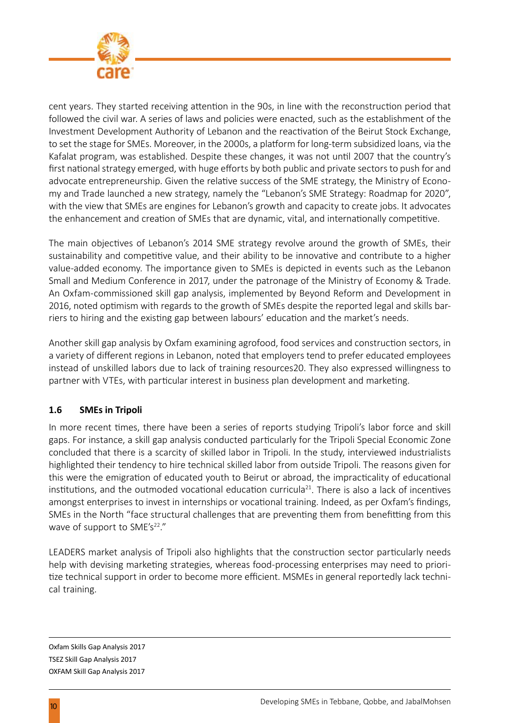

cent years. They started receiving attention in the 90s, in line with the reconstruction period that followed the civil war. A series of laws and policies were enacted, such as the establishment of the Investment Development Authority of Lebanon and the reactivation of the Beirut Stock Exchange, to set the stage for SMEs. Moreover, in the 2000s, a platform for long-term subsidized loans, via the Kafalat program, was established. Despite these changes, it was not until 2007 that the country's first national strategy emerged, with huge efforts by both public and private sectors to push for and advocate entrepreneurship. Given the relative success of the SME strategy, the Ministry of Economy and Trade launched a new strategy, namely the "Lebanon's SME Strategy: Roadmap for 2020", with the view that SMEs are engines for Lebanon's growth and capacity to create jobs. It advocates the enhancement and creation of SMEs that are dynamic, vital, and internationally competitive.

The main objectives of Lebanon's 2014 SME strategy revolve around the growth of SMEs, their sustainability and competitive value, and their ability to be innovative and contribute to a higher value-added economy. The importance given to SMEs is depicted in events such as the Lebanon Small and Medium Conference in 2017, under the patronage of the Ministry of Economy & Trade. An Oxfam-commissioned skill gap analysis, implemented by Beyond Reform and Development in 2016, noted optimism with regards to the growth of SMEs despite the reported legal and skills barriers to hiring and the existing gap between labours' education and the market's needs.

Another skill gap analysis by Oxfam examining agrofood, food services and construction sectors, in a variety of different regions in Lebanon, noted that employers tend to prefer educated employees instead of unskilled labors due to lack of training resources20. They also expressed willingness to partner with VTEs, with particular interest in business plan development and marketing.

#### **1.6 SMEs in Tripoli**

In more recent times, there have been a series of reports studying Tripoli's labor force and skill gaps. For instance, a skill gap analysis conducted particularly for the Tripoli Special Economic Zone concluded that there is a scarcity of skilled labor in Tripoli. In the study, interviewed industrialists highlighted their tendency to hire technical skilled labor from outside Tripoli. The reasons given for this were the emigration of educated youth to Beirut or abroad, the impracticality of educational institutions, and the outmoded vocational education curricula<sup>21</sup>. There is also a lack of incentives amongst enterprises to invest in internships or vocational training. Indeed, as per Oxfam's findings, SMEs in the North "face structural challenges that are preventing them from benefitting from this wave of support to SME's $22.$ "

LEADERS market analysis of Tripoli also highlights that the construction sector particularly needs help with devising marketing strategies, whereas food-processing enterprises may need to prioritize technical support in order to become more efficient. MSMEs in general reportedly lack technical training.

Oxfam Skills Gap Analysis 2017 TSEZ Skill Gap Analysis 2017 OXFAM Skill Gap Analysis 2017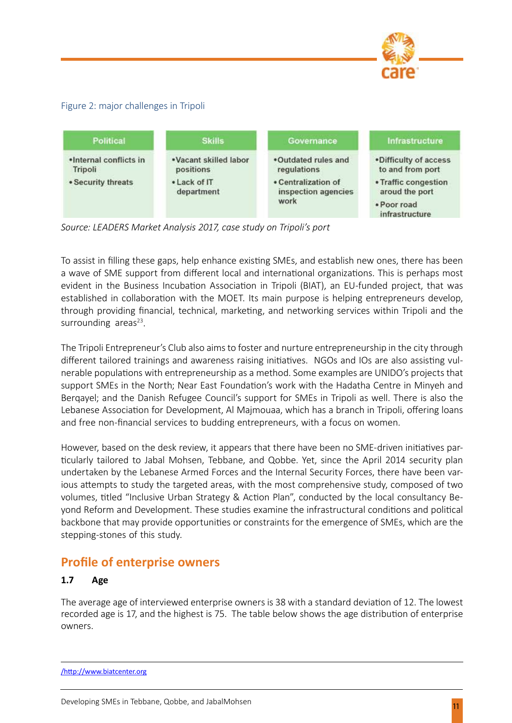

#### Figure 2: major challenges in Tripoli



*Source: LEADERS Market Analysis 2017, case study on Tripoli's port*

To assist in filling these gaps, help enhance existing SMEs, and establish new ones, there has been a wave of SME support from different local and international organizations. This is perhaps most evident in the Business Incubation Association in Tripoli (BIAT), an EU-funded project, that was established in collaboration with the MOET. Its main purpose is helping entrepreneurs develop, through providing financial, technical, marketing, and networking services within Tripoli and the surrounding areas $23$ .

The Tripoli Entrepreneur's Club also aims to foster and nurture entrepreneurship in the city through different tailored trainings and awareness raising initiatives. NGOs and IOs are also assisting vulnerable populations with entrepreneurship as a method. Some examples are UNIDO's projects that support SMEs in the North; Near East Foundation's work with the Hadatha Centre in Minyeh and Berqayel; and the Danish Refugee Council's support for SMEs in Tripoli as well. There is also the Lebanese Association for Development, Al Majmouaa, which has a branch in Tripoli, offering loans and free non-financial services to budding entrepreneurs, with a focus on women.

However, based on the desk review, it appears that there have been no SME-driven initiatives particularly tailored to Jabal Mohsen, Tebbane, and Qobbe. Yet, since the April 2014 security plan undertaken by the Lebanese Armed Forces and the Internal Security Forces, there have been various attempts to study the targeted areas, with the most comprehensive study, composed of two volumes, titled "Inclusive Urban Strategy & Action Plan", conducted by the local consultancy Beyond Reform and Development. These studies examine the infrastructural conditions and political backbone that may provide opportunities or constraints for the emergence of SMEs, which are the stepping-stones of this study.

# **Profile of enterprise owners**

#### **1.7 Age**

The average age of interviewed enterprise owners is 38 with a standard deviation of 12. The lowest recorded age is 17, and the highest is 75. The table below shows the age distribution of enterprise owners.

/http://www.biatcenter.org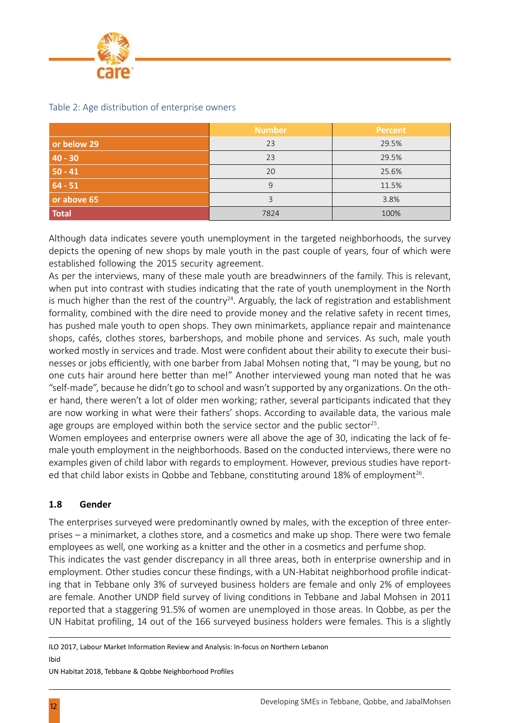

|              | <b>Number</b> | <b>Percent</b> |
|--------------|---------------|----------------|
| or below 29  | 23            | 29.5%          |
| $40 - 30$    | 23            | 29.5%          |
| $50 - 41$    | 20            | 25.6%          |
| $64 - 51$    | 9             | 11.5%          |
| or above 65  | 3             | 3.8%           |
| <b>Total</b> | 7824          | 100%           |

#### Table 2: Age distribution of enterprise owners

Although data indicates severe youth unemployment in the targeted neighborhoods, the survey depicts the opening of new shops by male youth in the past couple of years, four of which were established following the 2015 security agreement.

As per the interviews, many of these male youth are breadwinners of the family. This is relevant, when put into contrast with studies indicating that the rate of youth unemployment in the North is much higher than the rest of the country<sup>24</sup>. Arguably, the lack of registration and establishment formality, combined with the dire need to provide money and the relative safety in recent times, has pushed male youth to open shops. They own minimarkets, appliance repair and maintenance shops, cafés, clothes stores, barbershops, and mobile phone and services. As such, male youth worked mostly in services and trade. Most were confident about their ability to execute their businesses or jobs efficiently, with one barber from Jabal Mohsen noting that, "I may be young, but no one cuts hair around here better than me!" Another interviewed young man noted that he was "self-made", because he didn't go to school and wasn't supported by any organizations. On the other hand, there weren't a lot of older men working; rather, several participants indicated that they are now working in what were their fathers' shops. According to available data, the various male age groups are employed within both the service sector and the public sector<sup>25</sup>.

Women employees and enterprise owners were all above the age of 30, indicating the lack of female youth employment in the neighborhoods. Based on the conducted interviews, there were no examples given of child labor with regards to employment. However, previous studies have reported that child labor exists in Qobbe and Tebbane, constituting around 18% of employment<sup>26</sup>.

#### **1.8 Gender**

The enterprises surveyed were predominantly owned by males, with the exception of three enterprises – a minimarket, a clothes store, and a cosmetics and make up shop. There were two female employees as well, one working as a knitter and the other in a cosmetics and perfume shop. This indicates the vast gender discrepancy in all three areas, both in enterprise ownership and in employment. Other studies concur these findings, with a UN-Habitat neighborhood profile indicating that in Tebbane only 3% of surveyed business holders are female and only 2% of employees are female. Another UNDP field survey of living conditions in Tebbane and Jabal Mohsen in 2011 reported that a staggering 91.5% of women are unemployed in those areas. In Qobbe, as per the UN Habitat profiling, 14 out of the 166 surveyed business holders were females. This is a slightly

ILO 2017, Labour Market Information Review and Analysis: In-focus on Northern Lebanon Ibid

UN Habitat 2018, Tebbane & Qobbe Neighborhood Profiles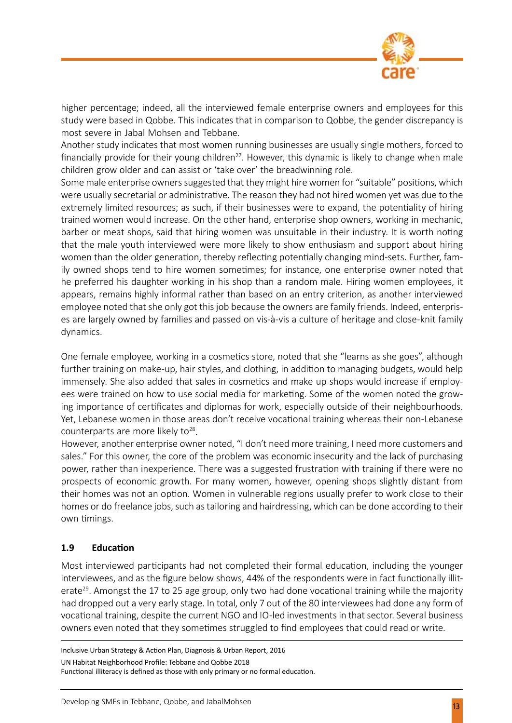

higher percentage; indeed, all the interviewed female enterprise owners and employees for this study were based in Qobbe. This indicates that in comparison to Qobbe, the gender discrepancy is most severe in Jabal Mohsen and Tebbane.

Another study indicates that most women running businesses are usually single mothers, forced to financially provide for their young children<sup>27</sup>. However, this dynamic is likely to change when male children grow older and can assist or 'take over' the breadwinning role.

Some male enterprise owners suggested that they might hire women for "suitable" positions, which were usually secretarial or administrative. The reason they had not hired women yet was due to the extremely limited resources; as such, if their businesses were to expand, the potentiality of hiring trained women would increase. On the other hand, enterprise shop owners, working in mechanic, barber or meat shops, said that hiring women was unsuitable in their industry. It is worth noting that the male youth interviewed were more likely to show enthusiasm and support about hiring women than the older generation, thereby reflecting potentially changing mind-sets. Further, family owned shops tend to hire women sometimes; for instance, one enterprise owner noted that he preferred his daughter working in his shop than a random male. Hiring women employees, it appears, remains highly informal rather than based on an entry criterion, as another interviewed employee noted that she only got this job because the owners are family friends. Indeed, enterprises are largely owned by families and passed on vis-à-vis a culture of heritage and close-knit family dynamics.

One female employee, working in a cosmetics store, noted that she "learns as she goes", although further training on make-up, hair styles, and clothing, in addition to managing budgets, would help immensely. She also added that sales in cosmetics and make up shops would increase if employees were trained on how to use social media for marketing. Some of the women noted the growing importance of certificates and diplomas for work, especially outside of their neighbourhoods. Yet, Lebanese women in those areas don't receive vocational training whereas their non-Lebanese counterparts are more likely to $28$ .

However, another enterprise owner noted, "I don't need more training, I need more customers and sales." For this owner, the core of the problem was economic insecurity and the lack of purchasing power, rather than inexperience. There was a suggested frustration with training if there were no prospects of economic growth. For many women, however, opening shops slightly distant from their homes was not an option. Women in vulnerable regions usually prefer to work close to their homes or do freelance jobs, such as tailoring and hairdressing, which can be done according to their own timings.

#### **1.9 Education**

Most interviewed participants had not completed their formal education, including the younger interviewees, and as the figure below shows, 44% of the respondents were in fact functionally illiterate<sup>29</sup>. Amongst the 17 to 25 age group, only two had done vocational training while the majority had dropped out a very early stage. In total, only 7 out of the 80 interviewees had done any form of vocational training, despite the current NGO and IO-led investments in that sector. Several business owners even noted that they sometimes struggled to find employees that could read or write.

Inclusive Urban Strategy & Action Plan, Diagnosis & Urban Report, 2016 UN Habitat Neighborhood Profile: Tebbane and Qobbe 2018 Functional illiteracy is defined as those with only primary or no formal education.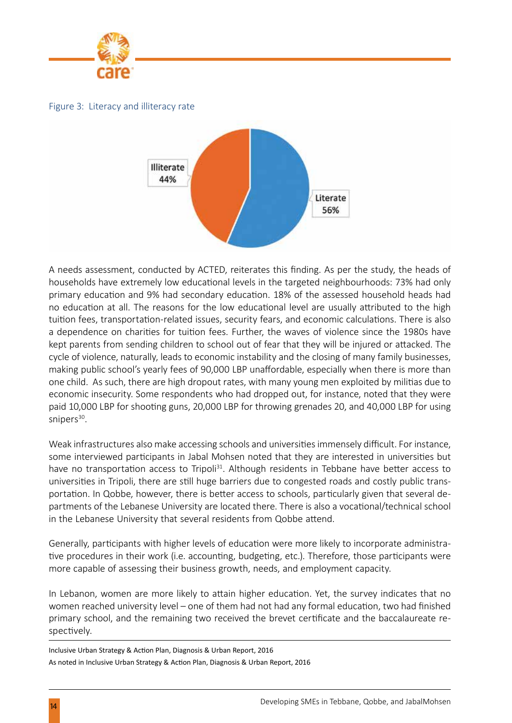

Figure 3: Literacy and illiteracy rate



A needs assessment, conducted by ACTED, reiterates this finding. As per the study, the heads of households have extremely low educational levels in the targeted neighbourhoods: 73% had only primary education and 9% had secondary education. 18% of the assessed household heads had no education at all. The reasons for the low educational level are usually attributed to the high tuition fees, transportation-related issues, security fears, and economic calculations. There is also a dependence on charities for tuition fees. Further, the waves of violence since the 1980s have kept parents from sending children to school out of fear that they will be injured or attacked. The cycle of violence, naturally, leads to economic instability and the closing of many family businesses, making public school's yearly fees of 90,000 LBP unaffordable, especially when there is more than one child. As such, there are high dropout rates, with many young men exploited by militias due to economic insecurity. Some respondents who had dropped out, for instance, noted that they were paid 10,000 LBP for shooting guns, 20,000 LBP for throwing grenades 20, and 40,000 LBP for using snipers<sup>30</sup>.

Weak infrastructures also make accessing schools and universities immensely difficult. For instance, some interviewed participants in Jabal Mohsen noted that they are interested in universities but have no transportation access to Tripoli<sup>31</sup>. Although residents in Tebbane have better access to universities in Tripoli, there are still huge barriers due to congested roads and costly public transportation. In Qobbe, however, there is better access to schools, particularly given that several departments of the Lebanese University are located there. There is also a vocational/technical school in the Lebanese University that several residents from Qobbe attend.

Generally, participants with higher levels of education were more likely to incorporate administrative procedures in their work (i.e. accounting, budgeting, etc.). Therefore, those participants were more capable of assessing their business growth, needs, and employment capacity.

In Lebanon, women are more likely to attain higher education. Yet, the survey indicates that no women reached university level – one of them had not had any formal education, two had finished primary school, and the remaining two received the brevet certificate and the baccalaureate respectively.

Inclusive Urban Strategy & Action Plan, Diagnosis & Urban Report, 2016 As noted in Inclusive Urban Strategy & Action Plan, Diagnosis & Urban Report, 2016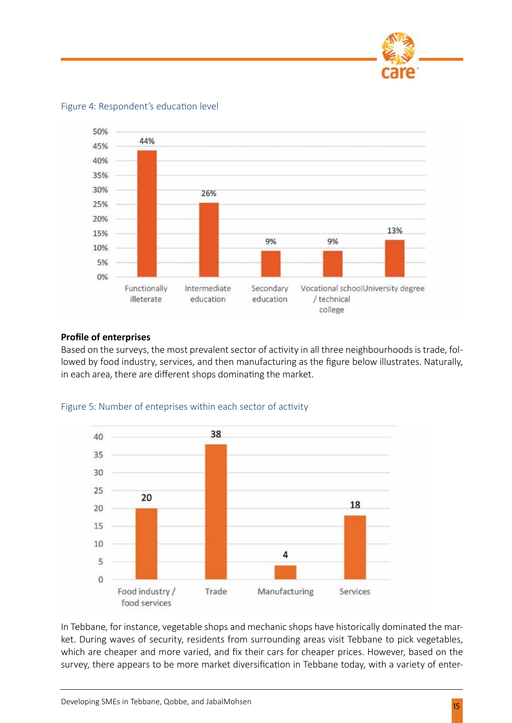

50% 44% 45% 40% 35% 30% 26% 25% 20% 13% 15% 9% 9% 10% 5% 0% Secondary Functionally Intermediate Vocational schoolUniversity degree illeterate education education / technical college

Figure 4: Respondent's education level

#### **Profile of enterprises**

Based on the surveys, the most prevalent sector of activity in all three neighbourhoods is trade, followed by food industry, services, and then manufacturing as the figure below illustrates. Naturally, in each area, there are different shops dominating the market.



Figure 5: Number of enteprises within each sector of activity

In Tebbane, for instance, vegetable shops and mechanic shops have historically dominated the market. During waves of security, residents from surrounding areas visit Tebbane to pick vegetables, which are cheaper and more varied, and fix their cars for cheaper prices. However, based on the survey, there appears to be more market diversification in Tebbane today, with a variety of enter-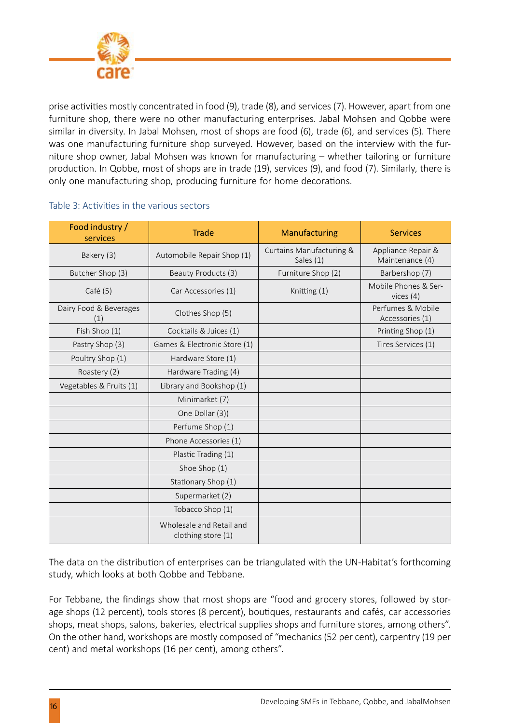

prise activities mostly concentrated in food (9), trade (8), and services (7). However, apart from one furniture shop, there were no other manufacturing enterprises. Jabal Mohsen and Qobbe were similar in diversity. In Jabal Mohsen, most of shops are food (6), trade (6), and services (5). There was one manufacturing furniture shop surveyed. However, based on the interview with the furniture shop owner, Jabal Mohsen was known for manufacturing – whether tailoring or furniture production. In Qobbe, most of shops are in trade (19), services (9), and food (7). Similarly, there is only one manufacturing shop, producing furniture for home decorations.

| Food industry /<br>services   | <b>Trade</b>                                   | Manufacturing                         | <b>Services</b>                       |
|-------------------------------|------------------------------------------------|---------------------------------------|---------------------------------------|
| Bakery (3)                    | Automobile Repair Shop (1)                     | Curtains Manufacturing &<br>Sales (1) | Appliance Repair &<br>Maintenance (4) |
| Butcher Shop (3)              | Beauty Products (3)                            | Furniture Shop (2)                    | Barbershop (7)                        |
| Café (5)                      | Car Accessories (1)                            | Knitting (1)                          | Mobile Phones & Ser-<br>vices $(4)$   |
| Dairy Food & Beverages<br>(1) | Clothes Shop (5)                               |                                       | Perfumes & Mobile<br>Accessories (1)  |
| Fish Shop (1)                 | Cocktails & Juices (1)                         |                                       | Printing Shop (1)                     |
| Pastry Shop (3)               | Games & Electronic Store (1)                   |                                       | Tires Services (1)                    |
| Poultry Shop (1)              | Hardware Store (1)                             |                                       |                                       |
| Roastery (2)                  | Hardware Trading (4)                           |                                       |                                       |
| Vegetables & Fruits (1)       | Library and Bookshop (1)                       |                                       |                                       |
|                               | Minimarket (7)                                 |                                       |                                       |
|                               | One Dollar (3))                                |                                       |                                       |
|                               | Perfume Shop (1)                               |                                       |                                       |
|                               | Phone Accessories (1)                          |                                       |                                       |
|                               | Plastic Trading (1)                            |                                       |                                       |
|                               | Shoe Shop (1)                                  |                                       |                                       |
|                               | Stationary Shop (1)                            |                                       |                                       |
|                               | Supermarket (2)                                |                                       |                                       |
|                               | Tobacco Shop (1)                               |                                       |                                       |
|                               | Wholesale and Retail and<br>clothing store (1) |                                       |                                       |

#### Table 3: Activities in the various sectors

The data on the distribution of enterprises can be triangulated with the UN-Habitat's forthcoming study, which looks at both Qobbe and Tebbane.

For Tebbane, the findings show that most shops are "food and grocery stores, followed by storage shops (12 percent), tools stores (8 percent), boutiques, restaurants and cafés, car accessories shops, meat shops, salons, bakeries, electrical supplies shops and furniture stores, among others". On the other hand, workshops are mostly composed of "mechanics (52 per cent), carpentry (19 per cent) and metal workshops (16 per cent), among others".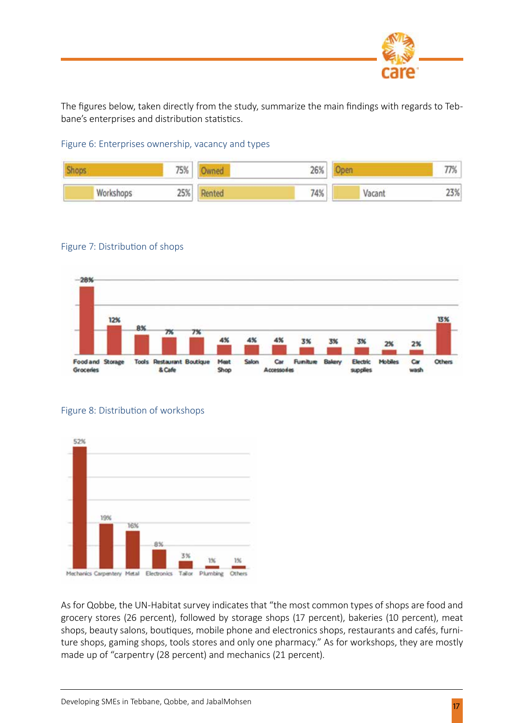

The figures below, taken directly from the study, summarize the main findings with regards to Tebbane's enterprises and distribution statistics.

Figure 6: Enterprises ownership, vacancy and types



#### Figure 7: Distribution of shops



#### Figure 8: Distribution of workshops



As for Qobbe, the UN-Habitat survey indicates that "the most common types of shops are food and grocery stores (26 percent), followed by storage shops (17 percent), bakeries (10 percent), meat shops, beauty salons, boutiques, mobile phone and electronics shops, restaurants and cafés, furniture shops, gaming shops, tools stores and only one pharmacy." As for workshops, they are mostly made up of "carpentry (28 percent) and mechanics (21 percent).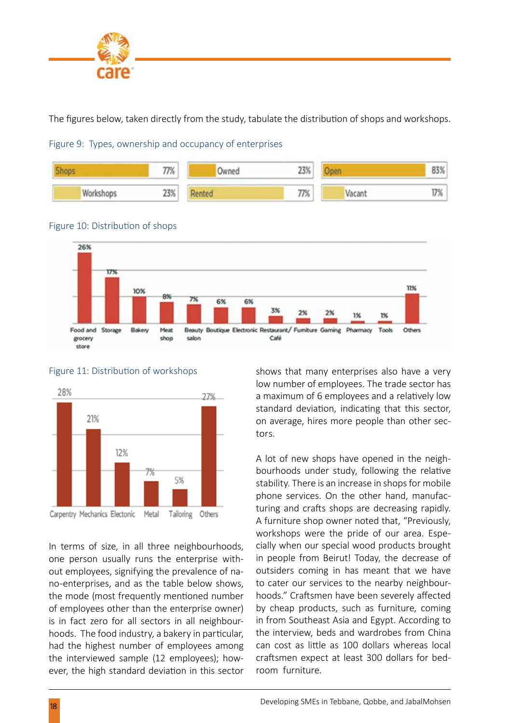

The figures below, taken directly from the study, tabulate the distribution of shops and workshops.











Figure 11: Distribution of workshops

In terms of size, in all three neighbourhoods, one person usually runs the enterprise without employees, signifying the prevalence of nano-enterprises, and as the table below shows, the mode (most frequently mentioned number of employees other than the enterprise owner) is in fact zero for all sectors in all neighbourhoods. The food industry, a bakery in particular, had the highest number of employees among the interviewed sample (12 employees); however, the high standard deviation in this sector

shows that many enterprises also have a very low number of employees. The trade sector has a maximum of 6 employees and a relatively low standard deviation, indicating that this sector, on average, hires more people than other sectors.

A lot of new shops have opened in the neighbourhoods under study, following the relative stability. There is an increase in shops for mobile phone services. On the other hand, manufacturing and crafts shops are decreasing rapidly. A furniture shop owner noted that, "Previously, workshops were the pride of our area. Especially when our special wood products brought in people from Beirut! Today, the decrease of outsiders coming in has meant that we have to cater our services to the nearby neighbourhoods." Craftsmen have been severely affected by cheap products, such as furniture, coming in from Southeast Asia and Egypt. According to the interview, beds and wardrobes from China can cost as little as 100 dollars whereas local craftsmen expect at least 300 dollars for bedroom furniture.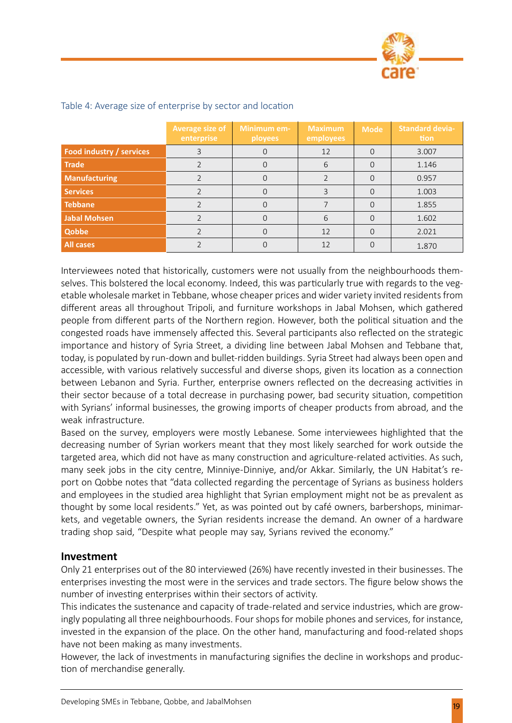

|                          | Average size of<br>enterprise | Minimum em-<br><b>ployees</b> | <b>Maximum</b><br>employees | <b>Mode</b> | <b>Standard devia-</b><br>tion |
|--------------------------|-------------------------------|-------------------------------|-----------------------------|-------------|--------------------------------|
| Food industry / services |                               |                               | 12                          |             | 3.007                          |
| <b>Trade</b>             |                               |                               | 6                           |             | 1.146                          |
| <b>Manufacturing</b>     |                               |                               |                             |             | 0.957                          |
| <b>Services</b>          |                               |                               |                             |             | 1.003                          |
| <b>Tebbane</b>           |                               |                               |                             |             | 1.855                          |
| Jabal Mohsen             |                               |                               | 6                           |             | 1.602                          |
| <b>Qobbe</b>             |                               | 0                             | 12                          |             | 2.021                          |
| All cases                |                               |                               | 12                          |             | 1.870                          |

#### Table 4: Average size of enterprise by sector and location

Interviewees noted that historically, customers were not usually from the neighbourhoods themselves. This bolstered the local economy. Indeed, this was particularly true with regards to the vegetable wholesale market in Tebbane, whose cheaper prices and wider variety invited residents from different areas all throughout Tripoli, and furniture workshops in Jabal Mohsen, which gathered people from different parts of the Northern region. However, both the political situation and the congested roads have immensely affected this. Several participants also reflected on the strategic importance and history of Syria Street, a dividing line between Jabal Mohsen and Tebbane that, today, is populated by run-down and bullet-ridden buildings. Syria Street had always been open and accessible, with various relatively successful and diverse shops, given its location as a connection between Lebanon and Syria. Further, enterprise owners reflected on the decreasing activities in their sector because of a total decrease in purchasing power, bad security situation, competition with Syrians' informal businesses, the growing imports of cheaper products from abroad, and the weak infrastructure.

Based on the survey, employers were mostly Lebanese. Some interviewees highlighted that the decreasing number of Syrian workers meant that they most likely searched for work outside the targeted area, which did not have as many construction and agriculture-related activities. As such, many seek jobs in the city centre, Minniye-Dinniye, and/or Akkar. Similarly, the UN Habitat's report on Qobbe notes that "data collected regarding the percentage of Syrians as business holders and employees in the studied area highlight that Syrian employment might not be as prevalent as thought by some local residents." Yet, as was pointed out by café owners, barbershops, minimarkets, and vegetable owners, the Syrian residents increase the demand. An owner of a hardware trading shop said, "Despite what people may say, Syrians revived the economy."

#### **Investment**

Only 21 enterprises out of the 80 interviewed (26%) have recently invested in their businesses. The enterprises investing the most were in the services and trade sectors. The figure below shows the number of investing enterprises within their sectors of activity.

This indicates the sustenance and capacity of trade-related and service industries, which are growingly populating all three neighbourhoods. Four shops for mobile phones and services, for instance, invested in the expansion of the place. On the other hand, manufacturing and food-related shops have not been making as many investments.

However, the lack of investments in manufacturing signifies the decline in workshops and production of merchandise generally.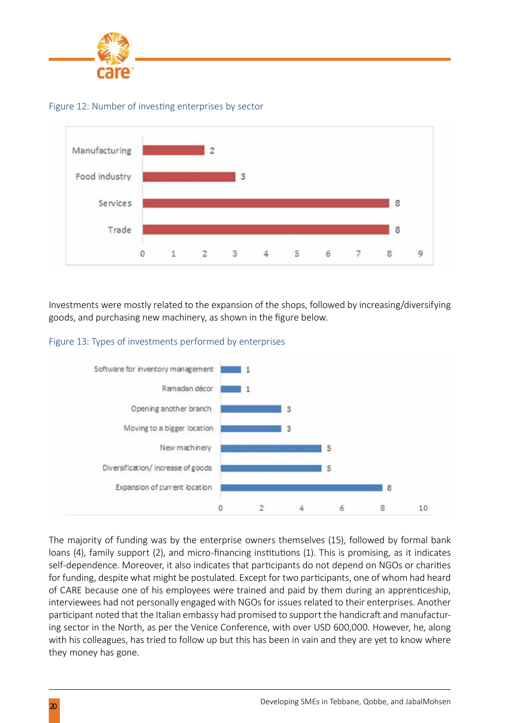

Figure 12: Number of investing enterprises by sector



Investments were mostly related to the expansion of the shops, followed by increasing/diversifying goods, and purchasing new machinery, as shown in the figure below.





The majority of funding was by the enterprise owners themselves (15), followed by formal bank loans (4), family support (2), and micro-financing institutions (1). This is promising, as it indicates self-dependence. Moreover, it also indicates that participants do not depend on NGOs or charities for funding, despite what might be postulated. Except for two participants, one of whom had heard of CARE because one of his employees were trained and paid by them during an apprenticeship, interviewees had not personally engaged with NGOs for issues related to their enterprises. Another participant noted that the Italian embassy had promised to support the handicraft and manufacturing sector in the North, as per the Venice Conference, with over USD 600,000. However, he, along with his colleagues, has tried to follow up but this has been in vain and they are yet to know where they money has gone.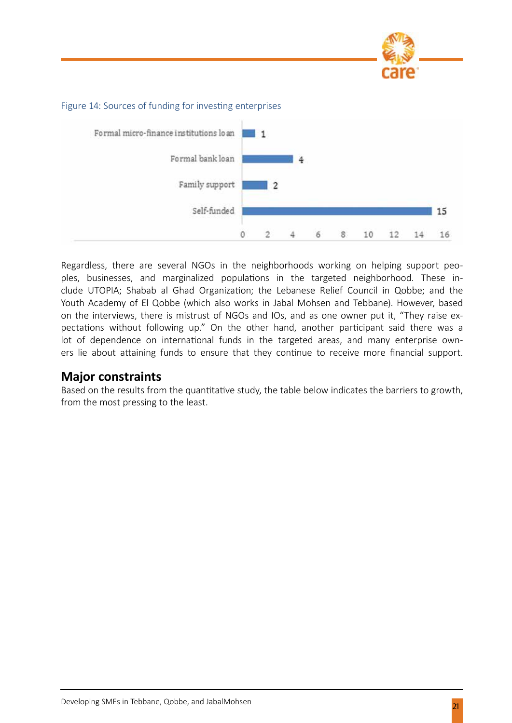



#### Figure 14: Sources of funding for investing enterprises

Regardless, there are several NGOs in the neighborhoods working on helping support peoples, businesses, and marginalized populations in the targeted neighborhood. These include UTOPIA; Shabab al Ghad Organization; the Lebanese Relief Council in Qobbe; and the Youth Academy of El Qobbe (which also works in Jabal Mohsen and Tebbane). However, based on the interviews, there is mistrust of NGOs and IOs, and as one owner put it, "They raise expectations without following up." On the other hand, another participant said there was a lot of dependence on international funds in the targeted areas, and many enterprise owners lie about attaining funds to ensure that they continue to receive more financial support.

#### **Major constraints**

Based on the results from the quantitative study, the table below indicates the barriers to growth, from the most pressing to the least.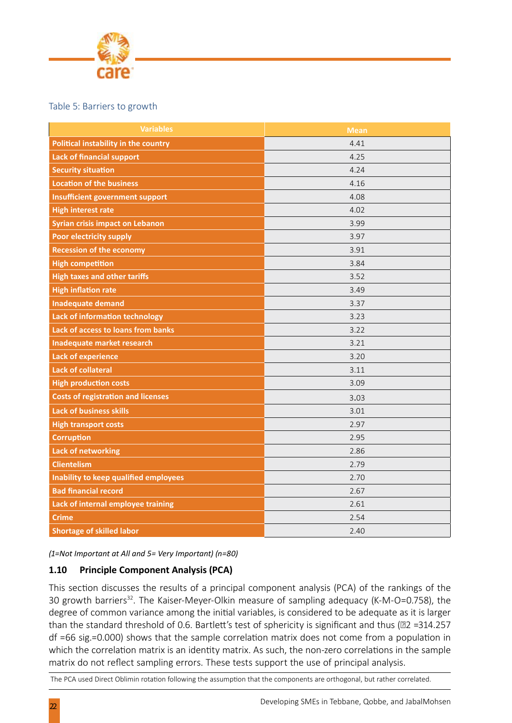

#### Table 5: Barriers to growth

| <b>Variables</b>                            | <b>Mean</b> |
|---------------------------------------------|-------------|
| <b>Political instability in the country</b> | 4.41        |
| <b>Lack of financial support</b>            | 4.25        |
| <b>Security situation</b>                   | 4.24        |
| <b>Location of the business</b>             | 4.16        |
| <b>Insufficient government support</b>      | 4.08        |
| <b>High interest rate</b>                   | 4.02        |
| <b>Syrian crisis impact on Lebanon</b>      | 3.99        |
| <b>Poor electricity supply</b>              | 3.97        |
| <b>Recession of the economy</b>             | 3.91        |
| <b>High competition</b>                     | 3.84        |
| <b>High taxes and other tariffs</b>         | 3.52        |
| <b>High inflation rate</b>                  | 3.49        |
| <b>Inadequate demand</b>                    | 3.37        |
| Lack of information technology              | 3.23        |
| Lack of access to loans from banks          | 3.22        |
| Inadequate market research                  | 3.21        |
| <b>Lack of experience</b>                   | 3.20        |
| <b>Lack of collateral</b>                   | 3.11        |
| <b>High production costs</b>                | 3.09        |
| <b>Costs of registration and licenses</b>   | 3.03        |
| <b>Lack of business skills</b>              | 3.01        |
| <b>High transport costs</b>                 | 2.97        |
| <b>Corruption</b>                           | 2.95        |
| <b>Lack of networking</b>                   | 2.86        |
| <b>Clientelism</b>                          | 2.79        |
| Inability to keep qualified employees       | 2.70        |
| <b>Bad financial record</b>                 | 2.67        |
| Lack of internal employee training          | 2.61        |
| <b>Crime</b>                                | 2.54        |
| <b>Shortage of skilled labor</b>            | 2.40        |

*(1=Not Important at All and 5= Very Important) (n=80)*

#### **1.10 Principle Component Analysis (PCA)**

This section discusses the results of a principal component analysis (PCA) of the rankings of the 30 growth barriers<sup>32</sup>. The Kaiser-Meyer-Olkin measure of sampling adequacy (K-M-O=0.758), the degree of common variance among the initial variables, is considered to be adequate as it is larger than the standard threshold of 0.6. Bartlett's test of sphericity is significant and thus (22 = 314.257 df =66 sig.=0.000) shows that the sample correlation matrix does not come from a population in which the correlation matrix is an identity matrix. As such, the non-zero correlations in the sample matrix do not reflect sampling errors. These tests support the use of principal analysis.

The PCA used Direct Oblimin rotation following the assumption that the components are orthogonal, but rather correlated.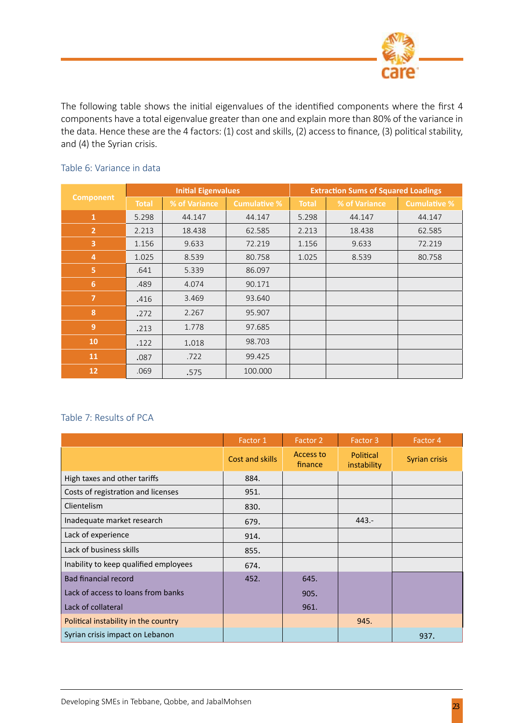

The following table shows the initial eigenvalues of the identified components where the first 4 components have a total eigenvalue greater than one and explain more than 80% of the variance in the data. Hence these are the 4 factors: (1) cost and skills, (2) access to finance, (3) political stability, and (4) the Syrian crisis.

|                  | <b>Initial Eigenvalues</b> |               |                     | <b>Extraction Sums of Squared Loadings</b> |               |                     |  |
|------------------|----------------------------|---------------|---------------------|--------------------------------------------|---------------|---------------------|--|
| <b>Component</b> | <b>Total</b>               | % of Variance | <b>Cumulative %</b> | <b>Total</b>                               | % of Variance | <b>Cumulative %</b> |  |
| $\mathbf{1}$     | 5.298                      | 44.147        | 44.147              | 5.298                                      | 44.147        | 44.147              |  |
| $\overline{2}$   | 2.213                      | 18.438        | 62.585              | 2.213                                      | 18.438        | 62.585              |  |
| 3                | 1.156                      | 9.633         | 72.219              | 1.156                                      | 9.633         | 72.219              |  |
| $\overline{4}$   | 1.025                      | 8.539         | 80.758              | 1.025                                      | 8.539         | 80.758              |  |
| 5                | .641                       | 5.339         | 86.097              |                                            |               |                     |  |
| $6\phantom{a}$   | .489                       | 4.074         | 90.171              |                                            |               |                     |  |
| $\overline{7}$   | .416                       | 3.469         | 93.640              |                                            |               |                     |  |
| $\boldsymbol{8}$ | .272                       | 2.267         | 95.907              |                                            |               |                     |  |
| 9                | .213                       | 1.778         | 97.685              |                                            |               |                     |  |
| 10               | .122                       | 1.018         | 98.703              |                                            |               |                     |  |
| <b>11</b>        | .087                       | .722          | 99.425              |                                            |               |                     |  |
| 12               | .069                       | .575          | 100.000             |                                            |               |                     |  |

#### Table 6: Variance in data

#### Table 7: Results of PCA

|                                       | Factor 1        | Factor 2             | Factor 3                 | Factor 4             |
|---------------------------------------|-----------------|----------------------|--------------------------|----------------------|
|                                       | Cost and skills | Access to<br>finance | Political<br>instability | <b>Syrian crisis</b> |
| High taxes and other tariffs          | 884.            |                      |                          |                      |
| Costs of registration and licenses    | 951.            |                      |                          |                      |
| Clientelism                           | 830.            |                      |                          |                      |
| Inadequate market research            | 679.            |                      | $443. -$                 |                      |
| Lack of experience                    | 914.            |                      |                          |                      |
| Lack of business skills               | 855.            |                      |                          |                      |
| Inability to keep qualified employees | 674.            |                      |                          |                      |
| Bad financial record                  | 452.            | 645.                 |                          |                      |
| Lack of access to loans from banks    |                 | 905.                 |                          |                      |
| Lack of collateral                    |                 | 961.                 |                          |                      |
| Political instability in the country  |                 |                      | 945.                     |                      |
| Syrian crisis impact on Lebanon       |                 |                      |                          | 937.                 |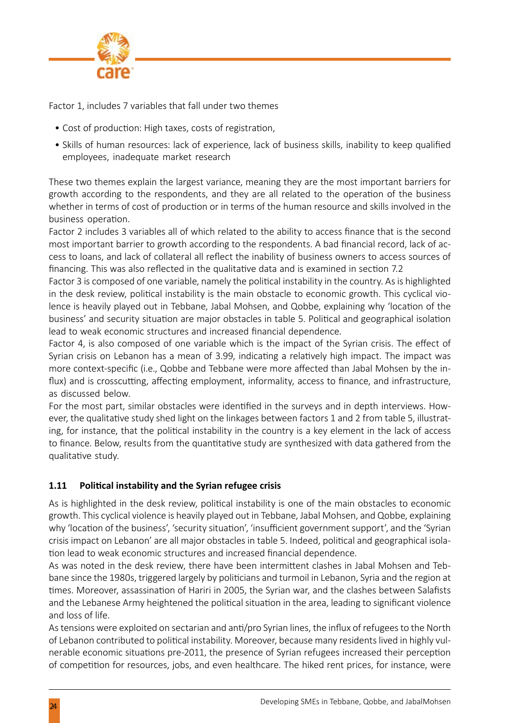

Factor 1, includes 7 variables that fall under two themes

- Cost of production: High taxes, costs of registration,
- Skills of human resources: lack of experience, lack of business skills, inability to keep qualified employees, inadequate market research

These two themes explain the largest variance, meaning they are the most important barriers for growth according to the respondents, and they are all related to the operation of the business whether in terms of cost of production or in terms of the human resource and skills involved in the business operation.

Factor 2 includes 3 variables all of which related to the ability to access finance that is the second most important barrier to growth according to the respondents. A bad financial record, lack of access to loans, and lack of collateral all reflect the inability of business owners to access sources of financing. This was also reflected in the qualitative data and is examined in section 7.2

Factor 3 is composed of one variable, namely the political instability in the country. As is highlighted in the desk review, political instability is the main obstacle to economic growth. This cyclical violence is heavily played out in Tebbane, Jabal Mohsen, and Qobbe, explaining why 'location of the business' and security situation are major obstacles in table 5. Political and geographical isolation lead to weak economic structures and increased financial dependence.

Factor 4, is also composed of one variable which is the impact of the Syrian crisis. The effect of Syrian crisis on Lebanon has a mean of 3.99, indicating a relatively high impact. The impact was more context-specific (i.e., Qobbe and Tebbane were more affected than Jabal Mohsen by the influx) and is crosscutting, affecting employment, informality, access to finance, and infrastructure, as discussed below.

For the most part, similar obstacles were identified in the surveys and in depth interviews. However, the qualitative study shed light on the linkages between factors 1 and 2 from table 5, illustrating, for instance, that the political instability in the country is a key element in the lack of access to finance. Below, results from the quantitative study are synthesized with data gathered from the qualitative study.

#### **1.11 Political instability and the Syrian refugee crisis**

As is highlighted in the desk review, political instability is one of the main obstacles to economic growth. This cyclical violence is heavily played out in Tebbane, Jabal Mohsen, and Qobbe, explaining why 'location of the business', 'security situation', 'insufficient government support', and the 'Syrian crisis impact on Lebanon' are all major obstacles in table 5. Indeed, political and geographical isolation lead to weak economic structures and increased financial dependence.

As was noted in the desk review, there have been intermittent clashes in Jabal Mohsen and Tebbane since the 1980s, triggered largely by politicians and turmoil in Lebanon, Syria and the region at times. Moreover, assassination of Hariri in 2005, the Syrian war, and the clashes between Salafists and the Lebanese Army heightened the political situation in the area, leading to significant violence and loss of life.

As tensions were exploited on sectarian and anti/pro Syrian lines, the influx of refugees to the North of Lebanon contributed to political instability. Moreover, because many residents lived in highly vulnerable economic situations pre-2011, the presence of Syrian refugees increased their perception of competition for resources, jobs, and even healthcare. The hiked rent prices, for instance, were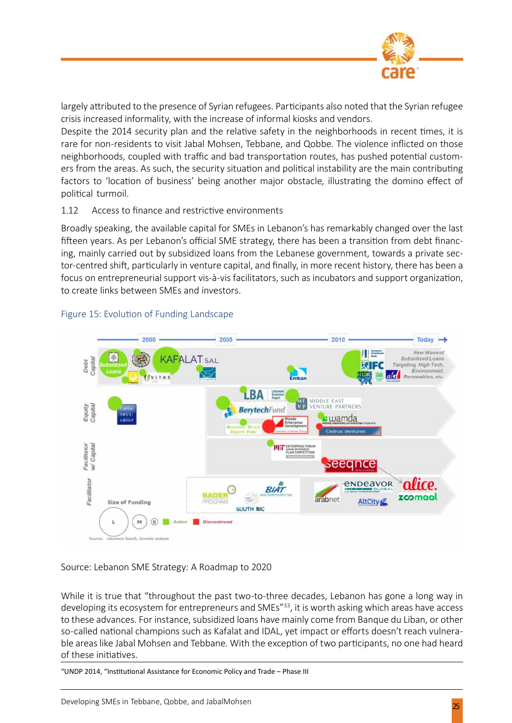

largely attributed to the presence of Syrian refugees. Participants also noted that the Syrian refugee crisis increased informality, with the increase of informal kiosks and vendors.

Despite the 2014 security plan and the relative safety in the neighborhoods in recent times, it is rare for non-residents to visit Jabal Mohsen, Tebbane, and Qobbe. The violence inflicted on those neighborhoods, coupled with traffic and bad transportation routes, has pushed potential customers from the areas. As such, the security situation and political instability are the main contributing factors to 'location of business' being another major obstacle, illustrating the domino effect of political turmoil.

#### 1.12 Access to finance and restrictive environments

Broadly speaking, the available capital for SMEs in Lebanon's has remarkably changed over the last fifteen years. As per Lebanon's official SME strategy, there has been a transition from debt financing, mainly carried out by subsidized loans from the Lebanese government, towards a private sector-centred shift, particularly in venture capital, and finally, in more recent history, there has been a focus on entrepreneurial support vis-à-vis facilitators, such as incubators and support organization, to create links between SMEs and investors.



#### Figure 15: Evolution of Funding Landscape

#### Source: Lebanon SME Strategy: A Roadmap to 2020

While it is true that "throughout the past two-to-three decades, Lebanon has gone a long way in developing its ecosystem for entrepreneurs and SMEs<sup>"33</sup>, it is worth asking which areas have access to these advances. For instance, subsidized loans have mainly come from Banque du Liban, or other so-called national champions such as Kafalat and IDAL, yet impact or efforts doesn't reach vulnerable areas like Jabal Mohsen and Tebbane. With the exception of two participants, no one had heard of these initiatives.

"UNDP 2014, "Institutional Assistance for Economic Policy and Trade – Phase III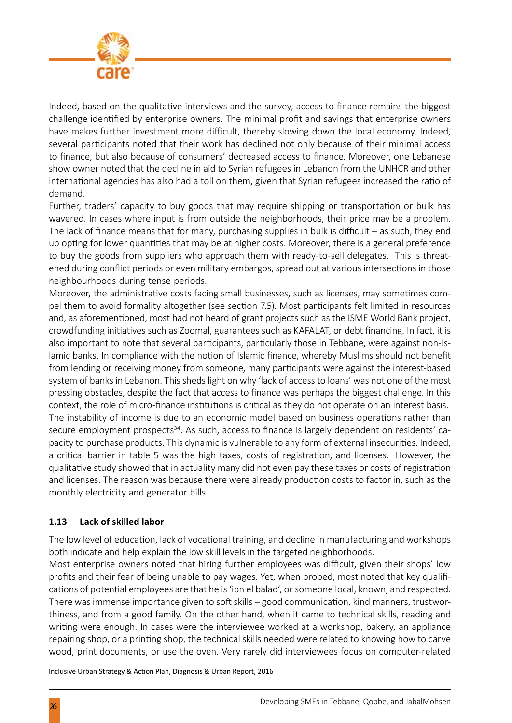

Indeed, based on the qualitative interviews and the survey, access to finance remains the biggest challenge identified by enterprise owners. The minimal profit and savings that enterprise owners have makes further investment more difficult, thereby slowing down the local economy. Indeed, several participants noted that their work has declined not only because of their minimal access to finance, but also because of consumers' decreased access to finance. Moreover, one Lebanese show owner noted that the decline in aid to Syrian refugees in Lebanon from the UNHCR and other international agencies has also had a toll on them, given that Syrian refugees increased the ratio of demand.

Further, traders' capacity to buy goods that may require shipping or transportation or bulk has wavered. In cases where input is from outside the neighborhoods, their price may be a problem. The lack of finance means that for many, purchasing supplies in bulk is difficult  $-$  as such, they end up opting for lower quantities that may be at higher costs. Moreover, there is a general preference to buy the goods from suppliers who approach them with ready-to-sell delegates. This is threatened during conflict periods or even military embargos, spread out at various intersections in those neighbourhoods during tense periods.

Moreover, the administrative costs facing small businesses, such as licenses, may sometimes compel them to avoid formality altogether (see section 7.5). Most participants felt limited in resources and, as aforementioned, most had not heard of grant projects such as the ISME World Bank project, crowdfunding initiatives such as Zoomal, guarantees such as KAFALAT, or debt financing. In fact, it is also important to note that several participants, particularly those in Tebbane, were against non-Islamic banks. In compliance with the notion of Islamic finance, whereby Muslims should not benefit from lending or receiving money from someone, many participants were against the interest-based system of banks in Lebanon. This sheds light on why 'lack of access to loans' was not one of the most pressing obstacles, despite the fact that access to finance was perhaps the biggest challenge. In this context, the role of micro-finance institutions is critical as they do not operate on an interest basis. The instability of income is due to an economic model based on business operations rather than secure employment prospects<sup>34</sup>. As such, access to finance is largely dependent on residents' capacity to purchase products. This dynamic is vulnerable to any form of external insecurities. Indeed, a critical barrier in table 5 was the high taxes, costs of registration, and licenses. However, the qualitative study showed that in actuality many did not even pay these taxes or costs of registration and licenses. The reason was because there were already production costs to factor in, such as the monthly electricity and generator bills.

#### **1.13 Lack of skilled labor**

The low level of education, lack of vocational training, and decline in manufacturing and workshops both indicate and help explain the low skill levels in the targeted neighborhoods.

Most enterprise owners noted that hiring further employees was difficult, given their shops' low profits and their fear of being unable to pay wages. Yet, when probed, most noted that key qualifications of potential employees are that he is 'ibn el balad', or someone local, known, and respected. There was immense importance given to soft skills – good communication, kind manners, trustworthiness, and from a good family. On the other hand, when it came to technical skills, reading and writing were enough. In cases were the interviewee worked at a workshop, bakery, an appliance repairing shop, or a printing shop, the technical skills needed were related to knowing how to carve wood, print documents, or use the oven. Very rarely did interviewees focus on computer-related

Inclusive Urban Strategy & Action Plan, Diagnosis & Urban Report, 2016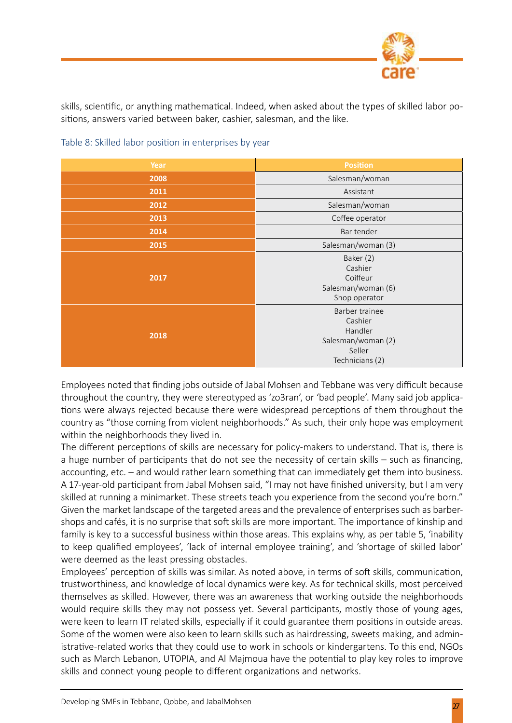

skills, scientific, or anything mathematical. Indeed, when asked about the types of skilled labor positions, answers varied between baker, cashier, salesman, and the like.

| Year | <b>Position</b>                                                                         |  |  |
|------|-----------------------------------------------------------------------------------------|--|--|
| 2008 | Salesman/woman                                                                          |  |  |
| 2011 | Assistant                                                                               |  |  |
| 2012 | Salesman/woman                                                                          |  |  |
| 2013 | Coffee operator                                                                         |  |  |
| 2014 | Bar tender                                                                              |  |  |
| 2015 | Salesman/woman (3)                                                                      |  |  |
| 2017 | Baker (2)<br>Cashier<br>Coiffeur<br>Salesman/woman (6)<br>Shop operator                 |  |  |
| 2018 | Barber trainee<br>Cashier<br>Handler<br>Salesman/woman (2)<br>Seller<br>Technicians (2) |  |  |

Table 8: Skilled labor position in enterprises by year

Employees noted that finding jobs outside of Jabal Mohsen and Tebbane was very difficult because throughout the country, they were stereotyped as 'zo3ran', or 'bad people'. Many said job applications were always rejected because there were widespread perceptions of them throughout the country as "those coming from violent neighborhoods." As such, their only hope was employment within the neighborhoods they lived in.

The different perceptions of skills are necessary for policy-makers to understand. That is, there is a huge number of participants that do not see the necessity of certain skills – such as financing, accounting, etc. – and would rather learn something that can immediately get them into business. A 17-year-old participant from Jabal Mohsen said, "I may not have finished university, but I am very skilled at running a minimarket. These streets teach you experience from the second you're born." Given the market landscape of the targeted areas and the prevalence of enterprises such as barbershops and cafés, it is no surprise that soft skills are more important. The importance of kinship and family is key to a successful business within those areas. This explains why, as per table 5, 'inability to keep qualified employees', 'lack of internal employee training', and 'shortage of skilled labor' were deemed as the least pressing obstacles.

Employees' perception of skills was similar. As noted above, in terms of soft skills, communication, trustworthiness, and knowledge of local dynamics were key. As for technical skills, most perceived themselves as skilled. However, there was an awareness that working outside the neighborhoods would require skills they may not possess yet. Several participants, mostly those of young ages, were keen to learn IT related skills, especially if it could guarantee them positions in outside areas. Some of the women were also keen to learn skills such as hairdressing, sweets making, and administrative-related works that they could use to work in schools or kindergartens. To this end, NGOs such as March Lebanon, UTOPIA, and Al Majmoua have the potential to play key roles to improve skills and connect young people to different organizations and networks.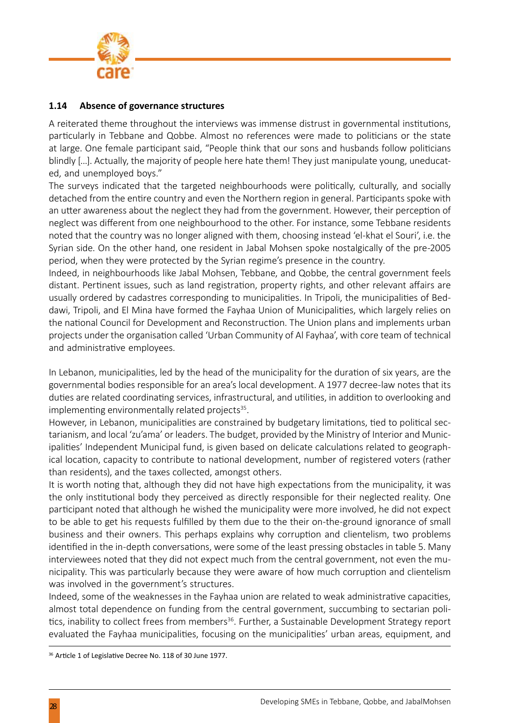

#### **1.14 Absence of governance structures**

A reiterated theme throughout the interviews was immense distrust in governmental institutions, particularly in Tebbane and Qobbe. Almost no references were made to politicians or the state at large. One female participant said, "People think that our sons and husbands follow politicians blindly [...]. Actually, the majority of people here hate them! They just manipulate young, uneducated, and unemployed boys."

The surveys indicated that the targeted neighbourhoods were politically, culturally, and socially detached from the entire country and even the Northern region in general. Participants spoke with an utter awareness about the neglect they had from the government. However, their perception of neglect was different from one neighbourhood to the other. For instance, some Tebbane residents noted that the country was no longer aligned with them, choosing instead 'el-khat el Souri', i.e. the Syrian side. On the other hand, one resident in Jabal Mohsen spoke nostalgically of the pre-2005 period, when they were protected by the Syrian regime's presence in the country.

Indeed, in neighbourhoods like Jabal Mohsen, Tebbane, and Qobbe, the central government feels distant. Pertinent issues, such as land registration, property rights, and other relevant affairs are usually ordered by cadastres corresponding to municipalities. In Tripoli, the municipalities of Beddawi, Tripoli, and El Mina have formed the Fayhaa Union of Municipalities, which largely relies on the national Council for Development and Reconstruction. The Union plans and implements urban projects under the organisation called 'Urban Community of Al Fayhaa', with core team of technical and administrative employees.

In Lebanon, municipalities, led by the head of the municipality for the duration of six years, are the governmental bodies responsible for an area's local development. A 1977 decree-law notes that its duties are related coordinating services, infrastructural, and utilities, in addition to overlooking and implementing environmentally related projects $35$ .

However, in Lebanon, municipalities are constrained by budgetary limitations, tied to political sectarianism, and local 'zu'ama' or leaders. The budget, provided by the Ministry of Interior and Municipalities' Independent Municipal fund, is given based on delicate calculations related to geographical location, capacity to contribute to national development, number of registered voters (rather than residents), and the taxes collected, amongst others.

It is worth noting that, although they did not have high expectations from the municipality, it was the only institutional body they perceived as directly responsible for their neglected reality. One participant noted that although he wished the municipality were more involved, he did not expect to be able to get his requests fulfilled by them due to the their on-the-ground ignorance of small business and their owners. This perhaps explains why corruption and clientelism, two problems identified in the in-depth conversations, were some of the least pressing obstacles in table 5. Many interviewees noted that they did not expect much from the central government, not even the municipality. This was particularly because they were aware of how much corruption and clientelism was involved in the government's structures.

Indeed, some of the weaknesses in the Fayhaa union are related to weak administrative capacities, almost total dependence on funding from the central government, succumbing to sectarian politics, inability to collect frees from members<sup>36</sup>. Further, a Sustainable Development Strategy report evaluated the Fayhaa municipalities, focusing on the municipalities' urban areas, equipment, and

<sup>36</sup> Article 1 of Legislative Decree No. 118 of 30 June 1977.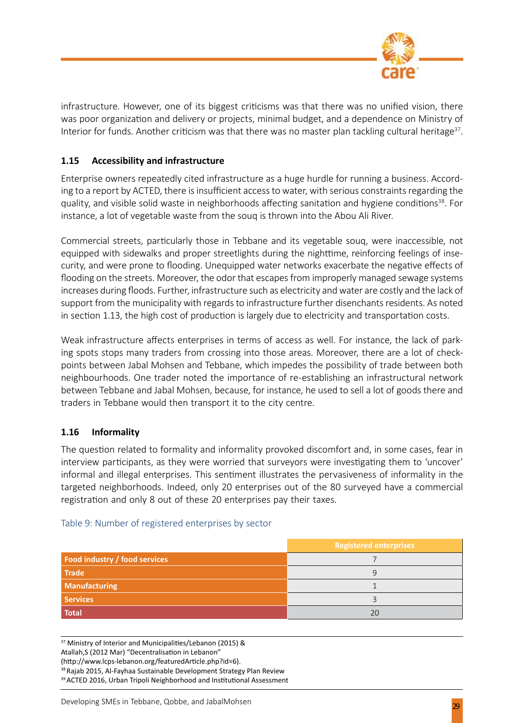

infrastructure. However, one of its biggest criticisms was that there was no unified vision, there was poor organization and delivery or projects, minimal budget, and a dependence on Ministry of Interior for funds. Another criticism was that there was no master plan tackling cultural heritage $37$ .

#### **1.15 Accessibility and infrastructure**

Enterprise owners repeatedly cited infrastructure as a huge hurdle for running a business. According to a report by ACTED, there is insufficient access to water, with serious constraints regarding the quality, and visible solid waste in neighborhoods affecting sanitation and hygiene conditions<sup>38</sup>. For instance, a lot of vegetable waste from the souq is thrown into the Abou Ali River.

Commercial streets, particularly those in Tebbane and its vegetable souq, were inaccessible, not equipped with sidewalks and proper streetlights during the nighttime, reinforcing feelings of insecurity, and were prone to flooding. Unequipped water networks exacerbate the negative effects of flooding on the streets. Moreover, the odor that escapes from improperly managed sewage systems increases during floods. Further, infrastructure such as electricity and water are costly and the lack of support from the municipality with regards to infrastructure further disenchants residents. As noted in section 1.13, the high cost of production is largely due to electricity and transportation costs.

Weak infrastructure affects enterprises in terms of access as well. For instance, the lack of parking spots stops many traders from crossing into those areas. Moreover, there are a lot of checkpoints between Jabal Mohsen and Tebbane, which impedes the possibility of trade between both neighbourhoods. One trader noted the importance of re-establishing an infrastructural network between Tebbane and Jabal Mohsen, because, for instance, he used to sell a lot of goods there and traders in Tebbane would then transport it to the city centre.

#### **1.16 Informality**

The question related to formality and informality provoked discomfort and, in some cases, fear in interview participants, as they were worried that surveyors were investigating them to 'uncover' informal and illegal enterprises. This sentiment illustrates the pervasiveness of informality in the targeted neighborhoods. Indeed, only 20 enterprises out of the 80 surveyed have a commercial registration and only 8 out of these 20 enterprises pay their taxes.

# **Registered enterprises Food industry / food services** 7 **Trade** 9 **Manufacturing 1 Manufacturing 1 Services** 3 **Total** 20

#### Table 9: Number of registered enterprises by sector

37 Ministry of Interior and Municipalities/Lebanon (2015) & Atallah,S (2012 Mar) "Decentralisation in Lebanon" (http://www.lcps-lebanon.org/featuredArticle.php?id=6). <sup>38</sup> Rajab 2015, Al-Fayhaa Sustainable Development Strategy Plan Review <sup>39</sup> ACTED 2016, Urban Tripoli Neighborhood and Institutional Assessment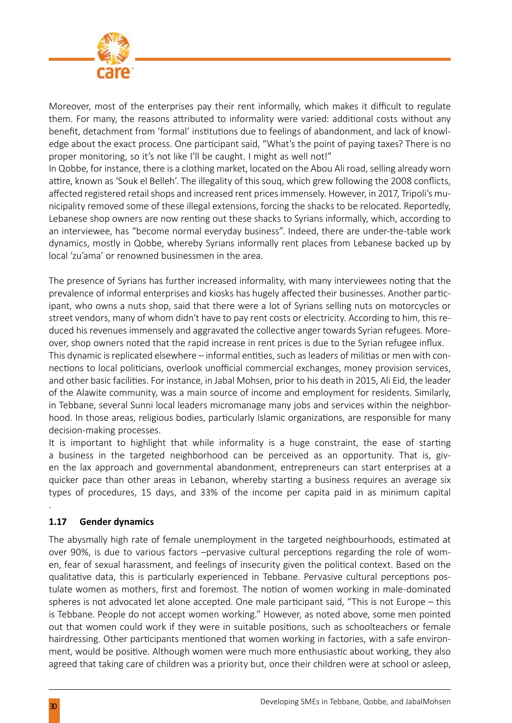

Moreover, most of the enterprises pay their rent informally, which makes it difficult to regulate them. For many, the reasons attributed to informality were varied: additional costs without any benefit, detachment from 'formal' institutions due to feelings of abandonment, and lack of knowledge about the exact process. One participant said, "What's the point of paying taxes? There is no proper monitoring, so it's not like I'll be caught. I might as well not!"

In Qobbe, for instance, there is a clothing market, located on the Abou Ali road, selling already worn attire, known as 'Souk el Belleh'. The illegality of this souq, which grew following the 2008 conflicts, affected registered retail shops and increased rent prices immensely. However, in 2017, Tripoli's municipality removed some of these illegal extensions, forcing the shacks to be relocated. Reportedly, Lebanese shop owners are now renting out these shacks to Syrians informally, which, according to an interviewee, has "become normal everyday business". Indeed, there are under-the-table work dynamics, mostly in Qobbe, whereby Syrians informally rent places from Lebanese backed up by local 'zu'ama' or renowned businessmen in the area.

The presence of Syrians has further increased informality, with many interviewees noting that the prevalence of informal enterprises and kiosks has hugely affected their businesses. Another participant, who owns a nuts shop, said that there were a lot of Syrians selling nuts on motorcycles or street vendors, many of whom didn't have to pay rent costs or electricity. According to him, this reduced his revenues immensely and aggravated the collective anger towards Syrian refugees. Moreover, shop owners noted that the rapid increase in rent prices is due to the Syrian refugee influx. This dynamic is replicated elsewhere – informal entities, such as leaders of militias or men with connections to local politicians, overlook unofficial commercial exchanges, money provision services, and other basic facilities. For instance, in Jabal Mohsen, prior to his death in 2015, Ali Eid, the leader of the Alawite community, was a main source of income and employment for residents. Similarly, in Tebbane, several Sunni local leaders micromanage many jobs and services within the neighborhood. In those areas, religious bodies, particularly Islamic organizations, are responsible for many decision-making processes.

It is important to highlight that while informality is a huge constraint, the ease of starting a business in the targeted neighborhood can be perceived as an opportunity. That is, given the lax approach and governmental abandonment, entrepreneurs can start enterprises at a quicker pace than other areas in Lebanon, whereby starting a business requires an average six types of procedures, 15 days, and 33% of the income per capita paid in as minimum capital

#### **1.17 Gender dynamics**

The abysmally high rate of female unemployment in the targeted neighbourhoods, estimated at over 90%, is due to various factors –pervasive cultural perceptions regarding the role of women, fear of sexual harassment, and feelings of insecurity given the political context. Based on the qualitative data, this is particularly experienced in Tebbane. Pervasive cultural perceptions postulate women as mothers, first and foremost. The notion of women working in male-dominated spheres is not advocated let alone accepted. One male participant said, "This is not Europe – this is Tebbane. People do not accept women working." However, as noted above, some men pointed out that women could work if they were in suitable positions, such as schoolteachers or female hairdressing. Other participants mentioned that women working in factories, with a safe environment, would be positive. Although women were much more enthusiastic about working, they also agreed that taking care of children was a priority but, once their children were at school or asleep,

.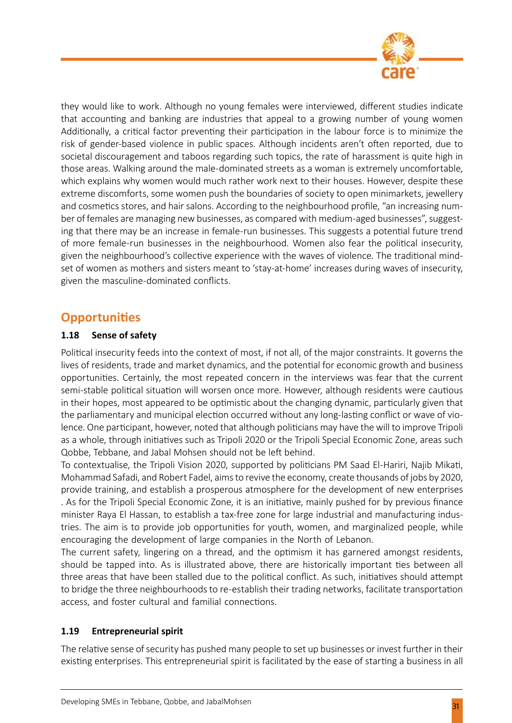

they would like to work. Although no young females were interviewed, different studies indicate that accounting and banking are industries that appeal to a growing number of young women Additionally, a critical factor preventing their participation in the labour force is to minimize the risk of gender-based violence in public spaces. Although incidents aren't often reported, due to societal discouragement and taboos regarding such topics, the rate of harassment is quite high in those areas. Walking around the male-dominated streets as a woman is extremely uncomfortable, which explains why women would much rather work next to their houses. However, despite these extreme discomforts, some women push the boundaries of society to open minimarkets, jewellery and cosmetics stores, and hair salons. According to the neighbourhood profile, "an increasing number of females are managing new businesses, as compared with medium-aged businesses", suggesting that there may be an increase in female-run businesses. This suggests a potential future trend of more female-run businesses in the neighbourhood. Women also fear the political insecurity, given the neighbourhood's collective experience with the waves of violence. The traditional mindset of women as mothers and sisters meant to 'stay-at-home' increases during waves of insecurity, given the masculine-dominated conflicts.

# **Opportunities**

#### **1.18 Sense of safety**

Political insecurity feeds into the context of most, if not all, of the major constraints. It governs the lives of residents, trade and market dynamics, and the potential for economic growth and business opportunities. Certainly, the most repeated concern in the interviews was fear that the current semi-stable political situation will worsen once more. However, although residents were cautious in their hopes, most appeared to be optimistic about the changing dynamic, particularly given that the parliamentary and municipal election occurred without any long-lasting conflict or wave of violence. One participant, however, noted that although politicians may have the will to improve Tripoli as a whole, through initiatives such as Tripoli 2020 or the Tripoli Special Economic Zone, areas such Qobbe, Tebbane, and Jabal Mohsen should not be left behind.

To contextualise, the Tripoli Vision 2020, supported by politicians PM Saad El-Hariri, Najib Mikati, Mohammad Safadi, and Robert Fadel, aims to revive the economy, create thousands of jobs by 2020, provide training, and establish a prosperous atmosphere for the development of new enterprises . As for the Tripoli Special Economic Zone, it is an initiative, mainly pushed for by previous finance minister Raya El Hassan, to establish a tax-free zone for large industrial and manufacturing industries. The aim is to provide job opportunities for youth, women, and marginalized people, while encouraging the development of large companies in the North of Lebanon.

The current safety, lingering on a thread, and the optimism it has garnered amongst residents, should be tapped into. As is illustrated above, there are historically important ties between all three areas that have been stalled due to the political conflict. As such, initiatives should attempt to bridge the three neighbourhoods to re-establish their trading networks, facilitate transportation access, and foster cultural and familial connections.

#### **1.19 Entrepreneurial spirit**

The relative sense of security has pushed many people to set up businesses or invest further in their existing enterprises. This entrepreneurial spirit is facilitated by the ease of starting a business in all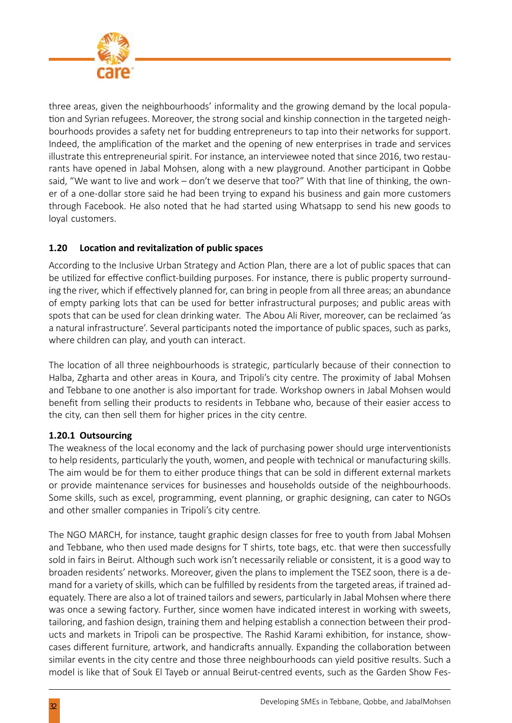

three areas, given the neighbourhoods' informality and the growing demand by the local population and Syrian refugees. Moreover, the strong social and kinship connection in the targeted neighbourhoods provides a safety net for budding entrepreneurs to tap into their networks for support. Indeed, the amplification of the market and the opening of new enterprises in trade and services illustrate this entrepreneurial spirit. For instance, an interviewee noted that since 2016, two restaurants have opened in Jabal Mohsen, along with a new playground. Another participant in Qobbe said, "We want to live and work – don't we deserve that too?" With that line of thinking, the owner of a one-dollar store said he had been trying to expand his business and gain more customers through Facebook. He also noted that he had started using Whatsapp to send his new goods to loyal customers.

#### **1.20 Location and revitalization of public spaces**

According to the Inclusive Urban Strategy and Action Plan, there are a lot of public spaces that can be utilized for effective conflict-building purposes. For instance, there is public property surrounding the river, which if effectively planned for, can bring in people from all three areas; an abundance of empty parking lots that can be used for better infrastructural purposes; and public areas with spots that can be used for clean drinking water. The Abou Ali River, moreover, can be reclaimed 'as a natural infrastructure'. Several participants noted the importance of public spaces, such as parks, where children can play, and youth can interact.

The location of all three neighbourhoods is strategic, particularly because of their connection to Halba, Zgharta and other areas in Koura, and Tripoli's city centre. The proximity of Jabal Mohsen and Tebbane to one another is also important for trade. Workshop owners in Jabal Mohsen would benefit from selling their products to residents in Tebbane who, because of their easier access to the city, can then sell them for higher prices in the city centre.

#### **1.20.1 Outsourcing**

The weakness of the local economy and the lack of purchasing power should urge interventionists to help residents, particularly the youth, women, and people with technical or manufacturing skills. The aim would be for them to either produce things that can be sold in different external markets or provide maintenance services for businesses and households outside of the neighbourhoods. Some skills, such as excel, programming, event planning, or graphic designing, can cater to NGOs and other smaller companies in Tripoli's city centre.

The NGO MARCH, for instance, taught graphic design classes for free to youth from Jabal Mohsen and Tebbane, who then used made designs for T shirts, tote bags, etc. that were then successfully sold in fairs in Beirut. Although such work isn't necessarily reliable or consistent, it is a good way to broaden residents' networks. Moreover, given the plans to implement the TSEZ soon, there is a demand for a variety of skills, which can be fulfilled by residents from the targeted areas, if trained adequately. There are also a lot of trained tailors and sewers, particularly in Jabal Mohsen where there was once a sewing factory. Further, since women have indicated interest in working with sweets, tailoring, and fashion design, training them and helping establish a connection between their products and markets in Tripoli can be prospective. The Rashid Karami exhibition, for instance, showcases different furniture, artwork, and handicrafts annually. Expanding the collaboration between similar events in the city centre and those three neighbourhoods can yield positive results. Such a model is like that of Souk El Tayeb or annual Beirut-centred events, such as the Garden Show Fes-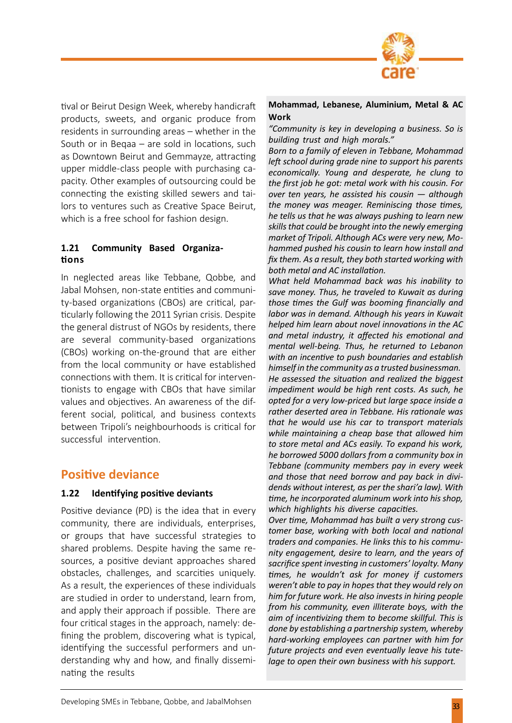

tival or Beirut Design Week, whereby handicraft products, sweets, and organic produce from residents in surrounding areas – whether in the South or in Beqaa – are sold in locations, such as Downtown Beirut and Gemmayze, attracting upper middle-class people with purchasing capacity. Other examples of outsourcing could be connecting the existing skilled sewers and tailors to ventures such as Creative Space Beirut, which is a free school for fashion design.

#### **1.21 Community Based Organizations**

In neglected areas like Tebbane, Qobbe, and Jabal Mohsen, non-state entities and community-based organizations (CBOs) are critical, particularly following the 2011 Syrian crisis. Despite the general distrust of NGOs by residents, there are several community-based organizations (CBOs) working on-the-ground that are either from the local community or have established connections with them. It is critical for interventionists to engage with CBOs that have similar values and objectives. An awareness of the different social, political, and business contexts between Tripoli's neighbourhoods is critical for successful intervention.

# **Positive deviance**

#### **1.22 Identifying positive deviants**

Positive deviance (PD) is the idea that in every community, there are individuals, enterprises, or groups that have successful strategies to shared problems. Despite having the same resources, a positive deviant approaches shared obstacles, challenges, and scarcities uniquely. As a result, the experiences of these individuals are studied in order to understand, learn from, and apply their approach if possible. There are four critical stages in the approach, namely: defining the problem, discovering what is typical, identifying the successful performers and understanding why and how, and finally disseminating the results

#### **Mohammad, Lebanese, Aluminium, Metal & AC Work**

*"Community is key in developing a business. So is building trust and high morals."*

*Born to a family of eleven in Tebbane, Mohammad left school during grade nine to support his parents economically. Young and desperate, he clung to the first job he got: metal work with his cousin. For over ten years, he assisted his cousin — although the money was meager. Reminiscing those times, he tells us that he was always pushing to learn new skills that could be brought into the newly emerging market of Tripoli. Although ACs were very new, Mohammed pushed his cousin to learn how install and fix them. As a result, they both started working with both metal and AC installation.*

*What held Mohammad back was his inability to save money. Thus, he traveled to Kuwait as during those times the Gulf was booming financially and labor was in demand. Although his years in Kuwait helped him learn about novel innovations in the AC and metal industry, it affected his emotional and mental well-being. Thus, he returned to Lebanon with an incentive to push boundaries and establish himself in the community as a trusted businessman. He assessed the situation and realized the biggest impediment would be high rent costs. As such, he opted for a very low-priced but large space inside a rather deserted area in Tebbane. His rationale was that he would use his car to transport materials while maintaining a cheap base that allowed him to store metal and ACs easily. To expand his work, he borrowed 5000 dollars from a community box in Tebbane (community members pay in every week and those that need borrow and pay back in dividends without interest, as per the shari'a law). With time, he incorporated aluminum work into his shop, which highlights his diverse capacities.*

*Over time, Mohammad has built a very strong customer base, working with both local and national traders and companies. He links this to his community engagement, desire to learn, and the years of sacrifice spent investing in customers' loyalty. Many times, he wouldn't ask for money if customers weren't able to pay in hopes that they would rely on him for future work. He also invests in hiring people from his community, even illiterate boys, with the aim of incentivizing them to become skillful. This is done by establishing a partnership system, whereby hard-working employees can partner with him for future projects and even eventually leave his tutelage to open their own business with his support.*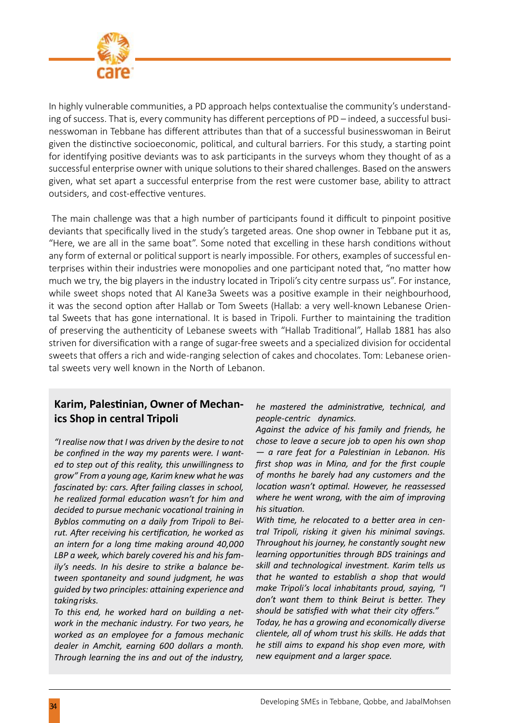

In highly vulnerable communities, a PD approach helps contextualise the community's understanding of success. That is, every community has different perceptions of PD – indeed, a successful businesswoman in Tebbane has different attributes than that of a successful businesswoman in Beirut given the distinctive socioeconomic, political, and cultural barriers. For this study, a starting point for identifying positive deviants was to ask participants in the surveys whom they thought of as a successful enterprise owner with unique solutions to their shared challenges. Based on the answers given, what set apart a successful enterprise from the rest were customer base, ability to attract outsiders, and cost-effective ventures.

 The main challenge was that a high number of participants found it difficult to pinpoint positive deviants that specifically lived in the study's targeted areas. One shop owner in Tebbane put it as, "Here, we are all in the same boat". Some noted that excelling in these harsh conditions without any form of external or political support is nearly impossible. For others, examples of successful enterprises within their industries were monopolies and one participant noted that, "no matter how much we try, the big players in the industry located in Tripoli's city centre surpass us". For instance, while sweet shops noted that Al Kane3a Sweets was a positive example in their neighbourhood, it was the second option after Hallab or Tom Sweets (Hallab: a very well-known Lebanese Oriental Sweets that has gone international. It is based in Tripoli. Further to maintaining the tradition of preserving the authenticity of Lebanese sweets with "Hallab Traditional", Hallab 1881 has also striven for diversification with a range of sugar-free sweets and a specialized division for occidental sweets that offers a rich and wide-ranging selection of cakes and chocolates. Tom: Lebanese oriental sweets very well known in the North of Lebanon.

# **Karim, Palestinian, Owner of Mechanics Shop in central Tripoli**

*"I realise now that I was driven by the desire to not be confined in the way my parents were. I wanted to step out of this reality, this unwillingness to grow" From a young age, Karim knew what he was fascinated by: cars. After failing classes in school, he realized formal education wasn't for him and decided to pursue mechanic vocational training in Byblos commuting on a daily from Tripoli to Beirut. After receiving his certification, he worked as an intern for a long time making around 40,000 LBP a week, which barely covered his and his family's needs. In his desire to strike a balance between spontaneity and sound judgment, he was guided by two principles: attaining experience and taking risks.*

*To this end, he worked hard on building a network in the mechanic industry. For two years, he worked as an employee for a famous mechanic dealer in Amchit, earning 600 dollars a month. Through learning the ins and out of the industry,* 

*he mastered the administrative, technical, and people-centric dynamics.*

*Against the advice of his family and friends, he chose to leave a secure job to open his own shop — a rare feat for a Palestinian in Lebanon. His first shop was in Mina, and for the first couple of months he barely had any customers and the location wasn't optimal. However, he reassessed where he went wrong, with the aim of improving his situation.*

*With time, he relocated to a better area in central Tripoli, risking it given his minimal savings. Throughout his journey, he constantly sought new learning opportunities through BDS trainings and skill and technological investment. Karim tells us that he wanted to establish a shop that would make Tripoli's local inhabitants proud, saying, "I don't want them to think Beirut is better. They should be satisfied with what their city offers." Today, he has a growing and economically diverse clientele, all of whom trust his skills. He adds that he still aims to expand his shop even more, with new equipment and a larger space.*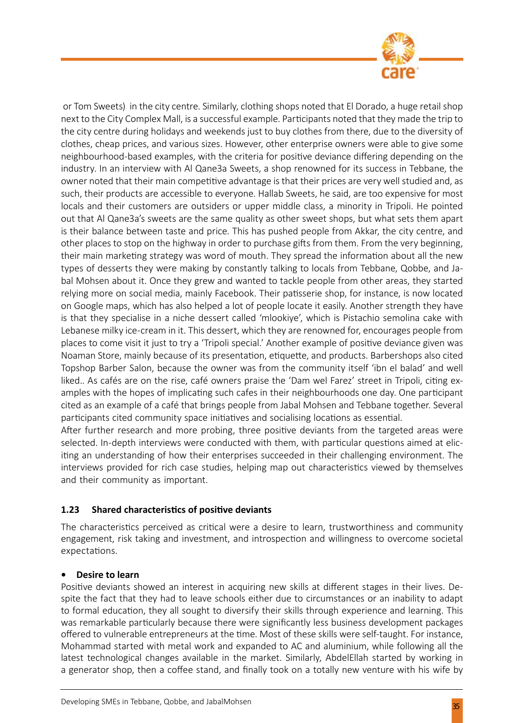

 or Tom Sweets) in the city centre. Similarly, clothing shops noted that El Dorado, a huge retail shop next to the City Complex Mall, is a successful example. Participants noted that they made the trip to the city centre during holidays and weekends just to buy clothes from there, due to the diversity of clothes, cheap prices, and various sizes. However, other enterprise owners were able to give some neighbourhood-based examples, with the criteria for positive deviance differing depending on the industry. In an interview with Al Qane3a Sweets, a shop renowned for its success in Tebbane, the owner noted that their main competitive advantage is that their prices are very well studied and, as such, their products are accessible to everyone. Hallab Sweets, he said, are too expensive for most locals and their customers are outsiders or upper middle class, a minority in Tripoli. He pointed out that Al Qane3a's sweets are the same quality as other sweet shops, but what sets them apart is their balance between taste and price. This has pushed people from Akkar, the city centre, and other places to stop on the highway in order to purchase gifts from them. From the very beginning, their main marketing strategy was word of mouth. They spread the information about all the new types of desserts they were making by constantly talking to locals from Tebbane, Qobbe, and Jabal Mohsen about it. Once they grew and wanted to tackle people from other areas, they started relying more on social media, mainly Facebook. Their patisserie shop, for instance, is now located on Google maps, which has also helped a lot of people locate it easily. Another strength they have is that they specialise in a niche dessert called 'mlookiye', which is Pistachio semolina cake with Lebanese milky ice-cream in it. This dessert, which they are renowned for, encourages people from places to come visit it just to try a 'Tripoli special.' Another example of positive deviance given was Noaman Store, mainly because of its presentation, etiquette, and products. Barbershops also cited Topshop Barber Salon, because the owner was from the community itself 'ibn el balad' and well liked.. As cafés are on the rise, café owners praise the 'Dam wel Farez' street in Tripoli, citing examples with the hopes of implicating such cafes in their neighbourhoods one day. One participant cited as an example of a café that brings people from Jabal Mohsen and Tebbane together. Several participants cited community space initiatives and socialising locations as essential.

After further research and more probing, three positive deviants from the targeted areas were selected. In-depth interviews were conducted with them, with particular questions aimed at eliciting an understanding of how their enterprises succeeded in their challenging environment. The interviews provided for rich case studies, helping map out characteristics viewed by themselves and their community as important.

#### **1.23 Shared characteristics of positive deviants**

The characteristics perceived as critical were a desire to learn, trustworthiness and community engagement, risk taking and investment, and introspection and willingness to overcome societal expectations.

#### **• Desire to learn**

Positive deviants showed an interest in acquiring new skills at different stages in their lives. Despite the fact that they had to leave schools either due to circumstances or an inability to adapt to formal education, they all sought to diversify their skills through experience and learning. This was remarkable particularly because there were significantly less business development packages offered to vulnerable entrepreneurs at the time. Most of these skills were self-taught. For instance, Mohammad started with metal work and expanded to AC and aluminium, while following all the latest technological changes available in the market. Similarly, AbdelEllah started by working in a generator shop, then a coffee stand, and finally took on a totally new venture with his wife by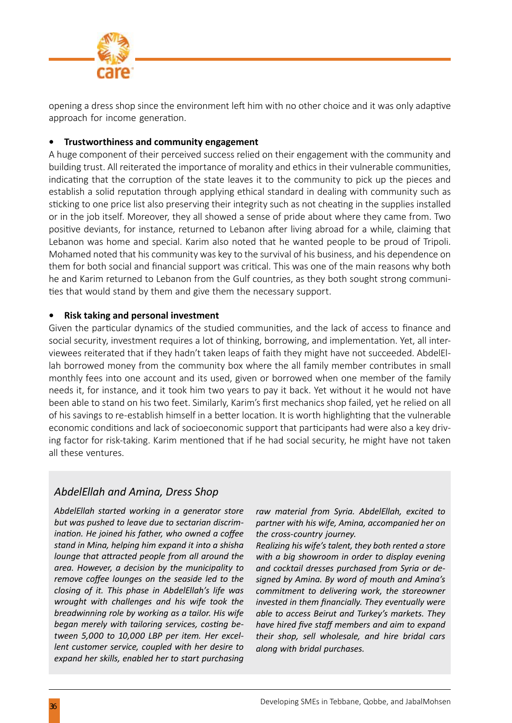

opening a dress shop since the environment left him with no other choice and it was only adaptive approach for income generation.

#### **• Trustworthiness and community engagement**

A huge component of their perceived success relied on their engagement with the community and building trust. All reiterated the importance of morality and ethics in their vulnerable communities, indicating that the corruption of the state leaves it to the community to pick up the pieces and establish a solid reputation through applying ethical standard in dealing with community such as sticking to one price list also preserving their integrity such as not cheating in the supplies installed or in the job itself. Moreover, they all showed a sense of pride about where they came from. Two positive deviants, for instance, returned to Lebanon after living abroad for a while, claiming that Lebanon was home and special. Karim also noted that he wanted people to be proud of Tripoli. Mohamed noted that his community was key to the survival of his business, and his dependence on them for both social and financial support was critical. This was one of the main reasons why both he and Karim returned to Lebanon from the Gulf countries, as they both sought strong communities that would stand by them and give them the necessary support.

#### **• Risk taking and personal investment**

Given the particular dynamics of the studied communities, and the lack of access to finance and social security, investment requires a lot of thinking, borrowing, and implementation. Yet, all interviewees reiterated that if they hadn't taken leaps of faith they might have not succeeded. AbdelEllah borrowed money from the community box where the all family member contributes in small monthly fees into one account and its used, given or borrowed when one member of the family needs it, for instance, and it took him two years to pay it back. Yet without it he would not have been able to stand on his two feet. Similarly, Karim's first mechanics shop failed, yet he relied on all of his savings to re-establish himself in a better location. It is worth highlighting that the vulnerable economic conditions and lack of socioeconomic support that participants had were also a key driving factor for risk-taking. Karim mentioned that if he had social security, he might have not taken all these ventures.

# *AbdelEllah and Amina, Dress Shop*

*AbdelEllah started working in a generator store but was pushed to leave due to sectarian discrimination. He joined his father, who owned a coffee stand in Mina, helping him expand it into a shisha lounge that attracted people from all around the area. However, a decision by the municipality to remove coffee lounges on the seaside led to the closing of it. This phase in AbdelEllah's life was wrought with challenges and his wife took the breadwinning role by working as a tailor. His wife began merely with tailoring services, costing between 5,000 to 10,000 LBP per item. Her excellent customer service, coupled with her desire to expand her skills, enabled her to start purchasing*  *raw material from Syria. AbdelEllah, excited to partner with his wife, Amina, accompanied her on the cross-country journey.*

*Realizing his wife's talent, they both rented a store with a big showroom in order to display evening and cocktail dresses purchased from Syria or designed by Amina. By word of mouth and Amina's commitment to delivering work, the storeowner invested in them financially. They eventually were able to access Beirut and Turkey's markets. They have hired five staff members and aim to expand their shop, sell wholesale, and hire bridal cars along with bridal purchases.*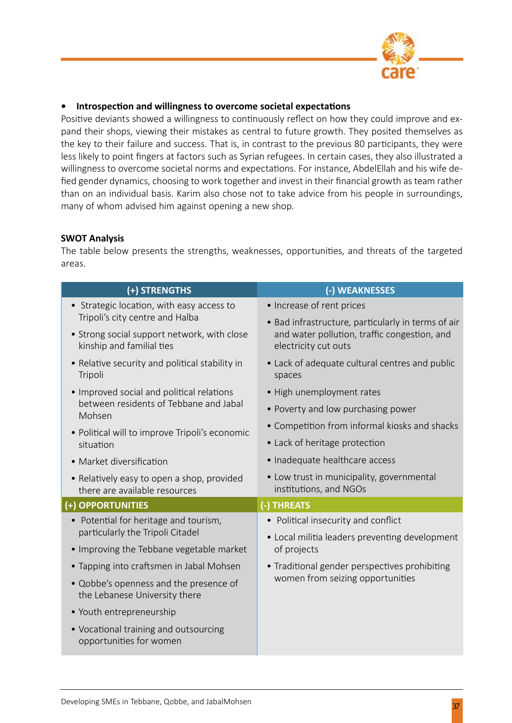

#### **• Introspection and willingness to overcome societal expectations**

Positive deviants showed a willingness to continuously reflect on how they could improve and expand their shops, viewing their mistakes as central to future growth. They posited themselves as the key to their failure and success. That is, in contrast to the previous 80 participants, they were less likely to point fingers at factors such as Syrian refugees. In certain cases, they also illustrated a willingness to overcome societal norms and expectations. For instance, AbdelEllah and his wife defied gender dynamics, choosing to work together and invest in their financial growth as team rather than on an individual basis. Karim also chose not to take advice from his people in surroundings, many of whom advised him against opening a new shop.

#### **SWOT Analysis**

The table below presents the strengths, weaknesses, opportunities, and threats of the targeted areas.

| (+) STRENGTHS                                                               | (-) WEAKNESSES                                                       |  |  |
|-----------------------------------------------------------------------------|----------------------------------------------------------------------|--|--|
| • Strategic location, with easy access to                                   | • Increase of rent prices                                            |  |  |
| Tripoli's city centre and Halba                                             | • Bad infrastructure, particularly in terms of air                   |  |  |
| • Strong social support network, with close<br>kinship and familial ties    | and water pollution, traffic congestion, and<br>electricity cut outs |  |  |
| • Relative security and political stability in<br>Tripoli                   | • Lack of adequate cultural centres and public<br>spaces             |  |  |
| • Improved social and political relations                                   | • High unemployment rates                                            |  |  |
| between residents of Tebbane and Jabal<br>Mohsen                            | • Poverty and low purchasing power                                   |  |  |
| • Political will to improve Tripoli's economic                              | • Competition from informal kiosks and shacks                        |  |  |
| situation                                                                   | • Lack of heritage protection                                        |  |  |
| • Market diversification                                                    | • Inadequate healthcare access                                       |  |  |
| • Relatively easy to open a shop, provided<br>there are available resources | • Low trust in municipality, governmental<br>institutions, and NGOs  |  |  |
| (+) OPPORTUNITIES                                                           | (-) THREATS                                                          |  |  |
| • Potential for heritage and tourism,                                       | • Political insecurity and conflict                                  |  |  |
| particularly the Tripoli Citadel                                            | • Local militia leaders preventing development                       |  |  |
| • Improving the Tebbane vegetable market                                    | of projects                                                          |  |  |
| • Tapping into craftsmen in Jabal Mohsen                                    | • Traditional gender perspectives prohibiting                        |  |  |
| • Qobbe's openness and the presence of<br>the Lebanese University there     | women from seizing opportunities                                     |  |  |
| • Youth entrepreneurship                                                    |                                                                      |  |  |
| • Vocational training and outsourcing<br>opportunities for women            |                                                                      |  |  |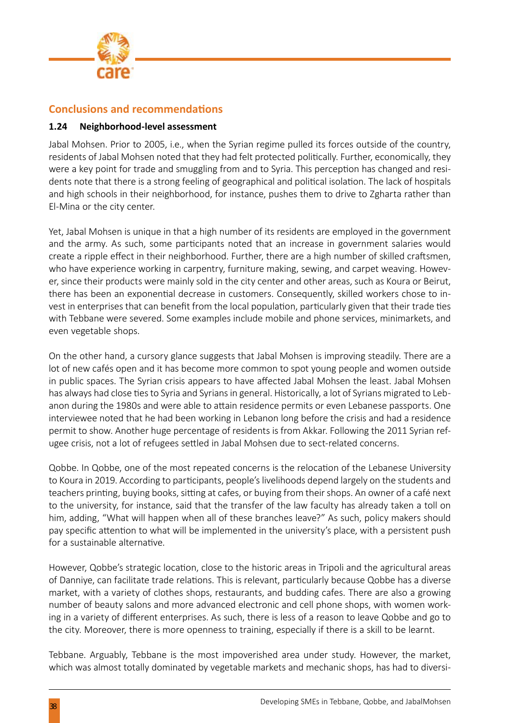

#### **Conclusions and recommendations**

#### **1.24 Neighborhood-level assessment**

Jabal Mohsen. Prior to 2005, i.e., when the Syrian regime pulled its forces outside of the country, residents of Jabal Mohsen noted that they had felt protected politically. Further, economically, they were a key point for trade and smuggling from and to Syria. This perception has changed and residents note that there is a strong feeling of geographical and political isolation. The lack of hospitals and high schools in their neighborhood, for instance, pushes them to drive to Zgharta rather than El-Mina or the city center.

Yet, Jabal Mohsen is unique in that a high number of its residents are employed in the government and the army. As such, some participants noted that an increase in government salaries would create a ripple effect in their neighborhood. Further, there are a high number of skilled craftsmen, who have experience working in carpentry, furniture making, sewing, and carpet weaving. However, since their products were mainly sold in the city center and other areas, such as Koura or Beirut, there has been an exponential decrease in customers. Consequently, skilled workers chose to invest in enterprises that can benefit from the local population, particularly given that their trade ties with Tebbane were severed. Some examples include mobile and phone services, minimarkets, and even vegetable shops.

On the other hand, a cursory glance suggests that Jabal Mohsen is improving steadily. There are a lot of new cafés open and it has become more common to spot young people and women outside in public spaces. The Syrian crisis appears to have affected Jabal Mohsen the least. Jabal Mohsen has always had close ties to Syria and Syrians in general. Historically, a lot of Syrians migrated to Lebanon during the 1980s and were able to attain residence permits or even Lebanese passports. One interviewee noted that he had been working in Lebanon long before the crisis and had a residence permit to show. Another huge percentage of residents is from Akkar. Following the 2011 Syrian refugee crisis, not a lot of refugees settled in Jabal Mohsen due to sect-related concerns.

Qobbe. In Qobbe, one of the most repeated concerns is the relocation of the Lebanese University to Koura in 2019. According to participants, people's livelihoods depend largely on the students and teachers printing, buying books, sitting at cafes, or buying from their shops. An owner of a café next to the university, for instance, said that the transfer of the law faculty has already taken a toll on him, adding, "What will happen when all of these branches leave?" As such, policy makers should pay specific attention to what will be implemented in the university's place, with a persistent push for a sustainable alternative.

However, Qobbe's strategic location, close to the historic areas in Tripoli and the agricultural areas of Danniye, can facilitate trade relations. This is relevant, particularly because Qobbe has a diverse market, with a variety of clothes shops, restaurants, and budding cafes. There are also a growing number of beauty salons and more advanced electronic and cell phone shops, with women working in a variety of different enterprises. As such, there is less of a reason to leave Qobbe and go to the city. Moreover, there is more openness to training, especially if there is a skill to be learnt.

Tebbane. Arguably, Tebbane is the most impoverished area under study. However, the market, which was almost totally dominated by vegetable markets and mechanic shops, has had to diversi-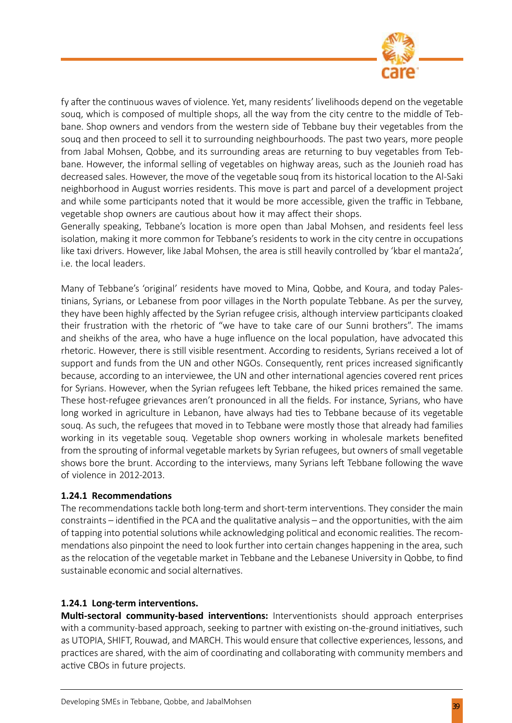

fy after the continuous waves of violence. Yet, many residents' livelihoods depend on the vegetable souq, which is composed of multiple shops, all the way from the city centre to the middle of Tebbane. Shop owners and vendors from the western side of Tebbane buy their vegetables from the souq and then proceed to sell it to surrounding neighbourhoods. The past two years, more people from Jabal Mohsen, Qobbe, and its surrounding areas are returning to buy vegetables from Tebbane. However, the informal selling of vegetables on highway areas, such as the Jounieh road has decreased sales. However, the move of the vegetable souq from its historical location to the Al-Saki neighborhood in August worries residents. This move is part and parcel of a development project and while some participants noted that it would be more accessible, given the traffic in Tebbane, vegetable shop owners are cautious about how it may affect their shops.

Generally speaking, Tebbane's location is more open than Jabal Mohsen, and residents feel less isolation, making it more common for Tebbane's residents to work in the city centre in occupations like taxi drivers. However, like Jabal Mohsen, the area is still heavily controlled by 'kbar el manta2a', i.e. the local leaders.

Many of Tebbane's 'original' residents have moved to Mina, Qobbe, and Koura, and today Palestinians, Syrians, or Lebanese from poor villages in the North populate Tebbane. As per the survey, they have been highly affected by the Syrian refugee crisis, although interview participants cloaked their frustration with the rhetoric of "we have to take care of our Sunni brothers". The imams and sheikhs of the area, who have a huge influence on the local population, have advocated this rhetoric. However, there is still visible resentment. According to residents, Syrians received a lot of support and funds from the UN and other NGOs. Consequently, rent prices increased significantly because, according to an interviewee, the UN and other international agencies covered rent prices for Syrians. However, when the Syrian refugees left Tebbane, the hiked prices remained the same. These host-refugee grievances aren't pronounced in all the fields. For instance, Syrians, who have long worked in agriculture in Lebanon, have always had ties to Tebbane because of its vegetable souq. As such, the refugees that moved in to Tebbane were mostly those that already had families working in its vegetable souq. Vegetable shop owners working in wholesale markets benefited from the sprouting of informal vegetable markets by Syrian refugees, but owners of small vegetable shows bore the brunt. According to the interviews, many Syrians left Tebbane following the wave of violence in 2012-2013.

#### **1.24.1 Recommendations**

The recommendations tackle both long-term and short-term interventions. They consider the main constraints – identified in the PCA and the qualitative analysis – and the opportunities, with the aim of tapping into potential solutions while acknowledging political and economic realities. The recommendations also pinpoint the need to look further into certain changes happening in the area, such as the relocation of the vegetable market in Tebbane and the Lebanese University in Qobbe, to find sustainable economic and social alternatives.

#### **1.24.1 Long-term interventions.**

**Multi-sectoral community-based interventions:** Interventionists should approach enterprises with a community-based approach, seeking to partner with existing on-the-ground initiatives, such as UTOPIA, SHIFT, Rouwad, and MARCH. This would ensure that collective experiences, lessons, and practices are shared, with the aim of coordinating and collaborating with community members and active CBOs in future projects.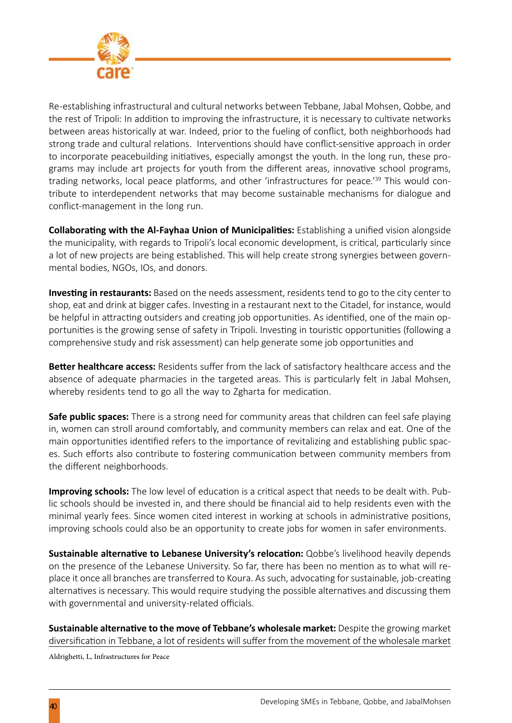

Re-establishing infrastructural and cultural networks between Tebbane, Jabal Mohsen, Qobbe, and the rest of Tripoli: In addition to improving the infrastructure, it is necessary to cultivate networks between areas historically at war. Indeed, prior to the fueling of conflict, both neighborhoods had strong trade and cultural relations. Interventions should have conflict-sensitive approach in order to incorporate peacebuilding initiatives, especially amongst the youth. In the long run, these programs may include art projects for youth from the different areas, innovative school programs, trading networks, local peace platforms, and other 'infrastructures for peace.'39 This would contribute to interdependent networks that may become sustainable mechanisms for dialogue and conflict-management in the long run.

**Collaborating with the Al-Fayhaa Union of Municipalities:** Establishing a unified vision alongside the municipality, with regards to Tripoli's local economic development, is critical, particularly since a lot of new projects are being established. This will help create strong synergies between governmental bodies, NGOs, IOs, and donors.

**Investing in restaurants:** Based on the needs assessment, residents tend to go to the city center to shop, eat and drink at bigger cafes. Investing in a restaurant next to the Citadel, for instance, would be helpful in attracting outsiders and creating job opportunities. As identified, one of the main opportunities is the growing sense of safety in Tripoli. Investing in touristic opportunities (following a comprehensive study and risk assessment) can help generate some job opportunities and

**Better healthcare access:** Residents suffer from the lack of satisfactory healthcare access and the absence of adequate pharmacies in the targeted areas. This is particularly felt in Jabal Mohsen, whereby residents tend to go all the way to Zgharta for medication.

**Safe public spaces:** There is a strong need for community areas that children can feel safe playing in, women can stroll around comfortably, and community members can relax and eat. One of the main opportunities identified refers to the importance of revitalizing and establishing public spaces. Such efforts also contribute to fostering communication between community members from the different neighborhoods.

**Improving schools:** The low level of education is a critical aspect that needs to be dealt with. Public schools should be invested in, and there should be financial aid to help residents even with the minimal yearly fees. Since women cited interest in working at schools in administrative positions, improving schools could also be an opportunity to create jobs for women in safer environments.

**Sustainable alternative to Lebanese University's relocation:** Qobbe's livelihood heavily depends on the presence of the Lebanese University. So far, there has been no mention as to what will replace it once all branches are transferred to Koura. As such, advocating for sustainable, job-creating alternatives is necessary. This would require studying the possible alternatives and discussing them with governmental and university-related officials.

**Sustainable alternative to the move of Tebbane's wholesale market:** Despite the growing market diversification in Tebbane, a lot of residents will suffer from the movement of the wholesale market

Aldrighetti, L, Infrastructures for Peace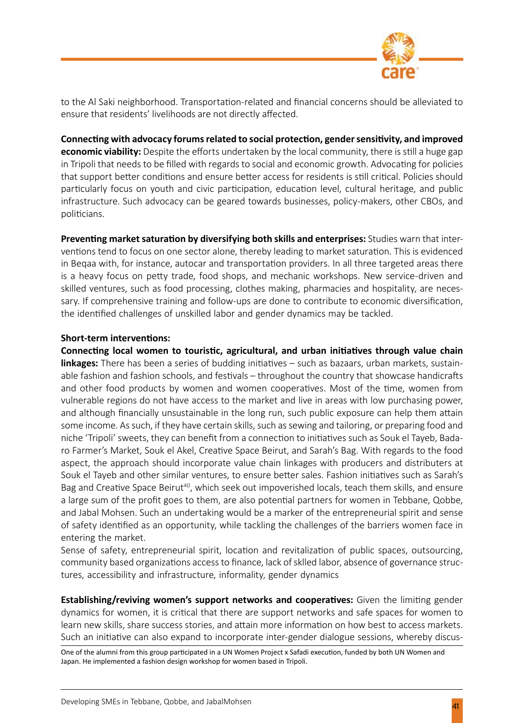

to the Al Saki neighborhood. Transportation-related and financial concerns should be alleviated to ensure that residents' livelihoods are not directly affected.

**Connecting with advocacy forums related to social protection, gender sensitivity, and improved economic viability:** Despite the efforts undertaken by the local community, there is still a huge gap in Tripoli that needs to be filled with regards to social and economic growth. Advocating for policies that support better conditions and ensure better access for residents is still critical. Policies should particularly focus on youth and civic participation, education level, cultural heritage, and public infrastructure. Such advocacy can be geared towards businesses, policy-makers, other CBOs, and politicians.

**Preventing market saturation by diversifying both skills and enterprises:** Studies warn that interventions tend to focus on one sector alone, thereby leading to market saturation. This is evidenced in Beqaa with, for instance, autocar and transportation providers. In all three targeted areas there is a heavy focus on petty trade, food shops, and mechanic workshops. New service-driven and skilled ventures, such as food processing, clothes making, pharmacies and hospitality, are necessary. If comprehensive training and follow-ups are done to contribute to economic diversification, the identified challenges of unskilled labor and gender dynamics may be tackled.

#### **Short-term interventions:**

**Connecting local women to touristic, agricultural, and urban initiatives through value chain linkages:** There has been a series of budding initiatives – such as bazaars, urban markets, sustainable fashion and fashion schools, and festivals – throughout the country that showcase handicrafts and other food products by women and women cooperatives. Most of the time, women from vulnerable regions do not have access to the market and live in areas with low purchasing power, and although financially unsustainable in the long run, such public exposure can help them attain some income. As such, if they have certain skills, such as sewing and tailoring, or preparing food and niche 'Tripoli' sweets, they can benefit from a connection to initiatives such as Souk el Tayeb, Badaro Farmer's Market, Souk el Akel, Creative Space Beirut, and Sarah's Bag. With regards to the food aspect, the approach should incorporate value chain linkages with producers and distributers at Souk el Tayeb and other similar ventures, to ensure better sales. Fashion initiatives such as Sarah's Bag and Creative Space Beirut<sup>40</sup>, which seek out impoverished locals, teach them skills, and ensure a large sum of the profit goes to them, are also potential partners for women in Tebbane, Qobbe, and Jabal Mohsen. Such an undertaking would be a marker of the entrepreneurial spirit and sense of safety identified as an opportunity, while tackling the challenges of the barriers women face in entering the market.

Sense of safety, entrepreneurial spirit, location and revitalization of public spaces, outsourcing, community based organizations access to finance, lack of sklled labor, absence of governance structures, accessibility and infrastructure, informality, gender dynamics

**Establishing/reviving women's support networks and cooperatives:** Given the limiting gender dynamics for women, it is critical that there are support networks and safe spaces for women to learn new skills, share success stories, and attain more information on how best to access markets. Such an initiative can also expand to incorporate inter-gender dialogue sessions, whereby discus-

One of the alumni from this group participated in a UN Women Project x Safadi execution, funded by both UN Women and Japan. He implemented a fashion design workshop for women based in Tripoli.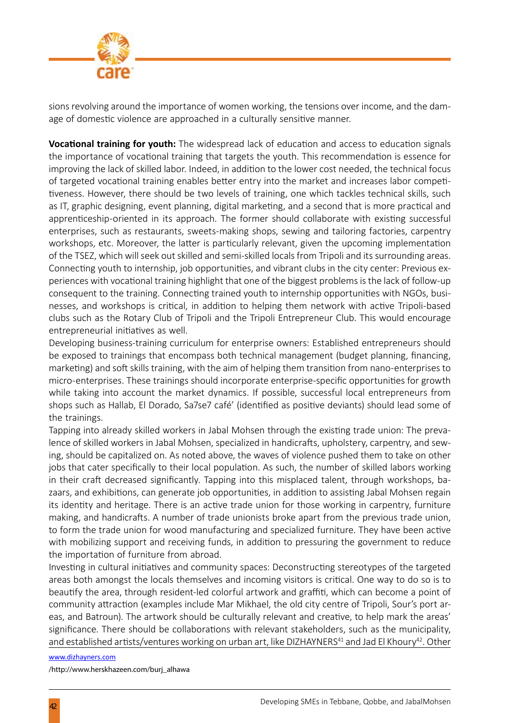

sions revolving around the importance of women working, the tensions over income, and the damage of domestic violence are approached in a culturally sensitive manner.

**Vocational training for youth:** The widespread lack of education and access to education signals the importance of vocational training that targets the youth. This recommendation is essence for improving the lack of skilled labor. Indeed, in addition to the lower cost needed, the technical focus of targeted vocational training enables better entry into the market and increases labor competitiveness. However, there should be two levels of training, one which tackles technical skills, such as IT, graphic designing, event planning, digital marketing, and a second that is more practical and apprenticeship-oriented in its approach. The former should collaborate with existing successful enterprises, such as restaurants, sweets-making shops, sewing and tailoring factories, carpentry workshops, etc. Moreover, the latter is particularly relevant, given the upcoming implementation of the TSEZ, which will seek out skilled and semi-skilled locals from Tripoli and its surrounding areas. Connecting youth to internship, job opportunities, and vibrant clubs in the city center: Previous experiences with vocational training highlight that one of the biggest problems is the lack of follow-up consequent to the training. Connecting trained youth to internship opportunities with NGOs, businesses, and workshops is critical, in addition to helping them network with active Tripoli-based clubs such as the Rotary Club of Tripoli and the Tripoli Entrepreneur Club. This would encourage entrepreneurial initiatives as well.

Developing business-training curriculum for enterprise owners: Established entrepreneurs should be exposed to trainings that encompass both technical management (budget planning, financing, marketing) and soft skills training, with the aim of helping them transition from nano-enterprises to micro-enterprises. These trainings should incorporate enterprise-specific opportunities for growth while taking into account the market dynamics. If possible, successful local entrepreneurs from shops such as Hallab, El Dorado, Sa7se7 café' (identified as positive deviants) should lead some of the trainings.

Tapping into already skilled workers in Jabal Mohsen through the existing trade union: The prevalence of skilled workers in Jabal Mohsen, specialized in handicrafts, upholstery, carpentry, and sewing, should be capitalized on. As noted above, the waves of violence pushed them to take on other jobs that cater specifically to their local population. As such, the number of skilled labors working in their craft decreased significantly. Tapping into this misplaced talent, through workshops, bazaars, and exhibitions, can generate job opportunities, in addition to assisting Jabal Mohsen regain its identity and heritage. There is an active trade union for those working in carpentry, furniture making, and handicrafts. A number of trade unionists broke apart from the previous trade union, to form the trade union for wood manufacturing and specialized furniture. They have been active with mobilizing support and receiving funds, in addition to pressuring the government to reduce the importation of furniture from abroad.

Investing in cultural initiatives and community spaces: Deconstructing stereotypes of the targeted areas both amongst the locals themselves and incoming visitors is critical. One way to do so is to beautify the area, through resident-led colorful artwork and graffiti, which can become a point of community attraction (examples include Mar Mikhael, the old city centre of Tripoli, Sour's port areas, and Batroun). The artwork should be culturally relevant and creative, to help mark the areas' significance. There should be collaborations with relevant stakeholders, such as the municipality, and established artists/ventures working on urban art, like DIZHAYNERS<sup>41</sup> and Jad El Khoury<sup>42</sup>. Other

#### www.dizhayners.com

/http://www.herskhazeen.com/burj\_alhawa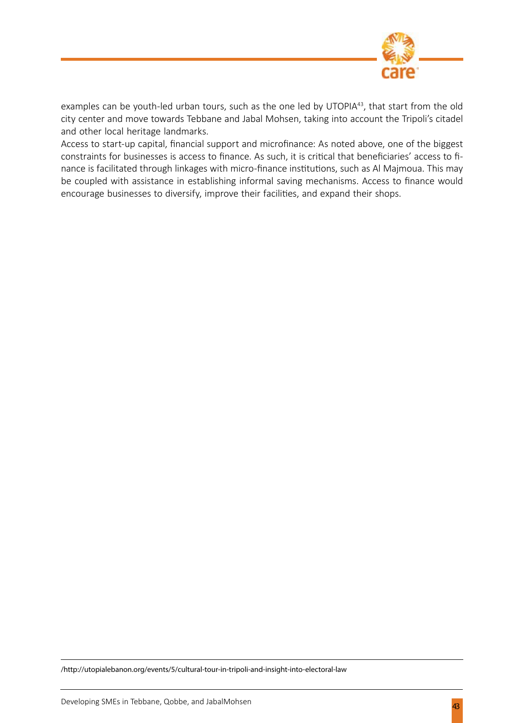

examples can be youth-led urban tours, such as the one led by UTOPIA<sup>43</sup>, that start from the old city center and move towards Tebbane and Jabal Mohsen, taking into account the Tripoli's citadel and other local heritage landmarks.

Access to start-up capital, financial support and microfinance: As noted above, one of the biggest constraints for businesses is access to finance. As such, it is critical that beneficiaries' access to finance is facilitated through linkages with micro-finance institutions, such as Al Majmoua. This may be coupled with assistance in establishing informal saving mechanisms. Access to finance would encourage businesses to diversify, improve their facilities, and expand their shops.

/http://utopialebanon.org/events/5/cultural-tour-in-tripoli-and-insight-into-electoral-law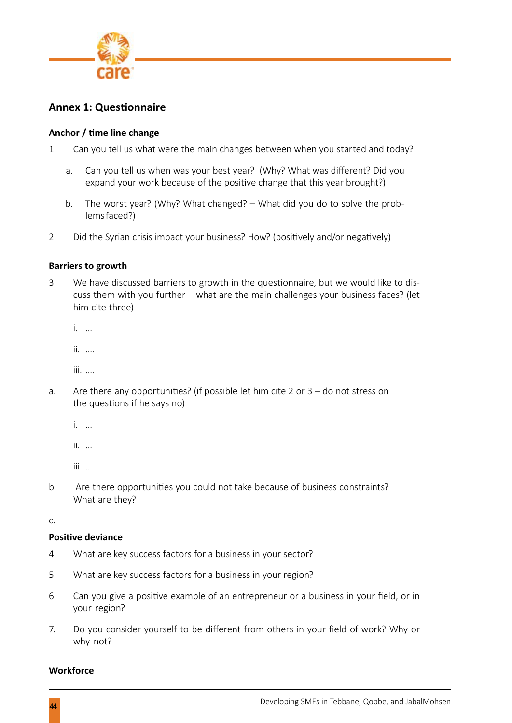

### **Annex 1: Questionnaire**

#### **Anchor / time line change**

- 1. Can you tell us what were the main changes between when you started and today?
	- a. Can you tell us when was your best year? (Why? What was different? Did you expand your work because of the positive change that this year brought?)
	- b. The worst year? (Why? What changed? What did you do to solve the problems faced?)
- 2. Did the Syrian crisis impact your business? How? (positively and/or negatively)

#### **Barriers to growth**

3. We have discussed barriers to growth in the questionnaire, but we would like to discuss them with you further – what are the main challenges your business faces? (let him cite three)

i. …

ii. ….

iii. ….

- a. Are there any opportunities? (if possible let him cite 2 or 3 do not stress on the questions if he says no)
	- i. …

ii. …

iii. …

b. Are there opportunities you could not take because of business constraints? What are they?

c.

#### **Positive deviance**

- 4. What are key success factors for a business in your sector?
- 5. What are key success factors for a business in your region?
- 6. Can you give a positive example of an entrepreneur or a business in your field, or in your region?
- 7. Do you consider yourself to be different from others in your field of work? Why or why not?

#### **Workforce**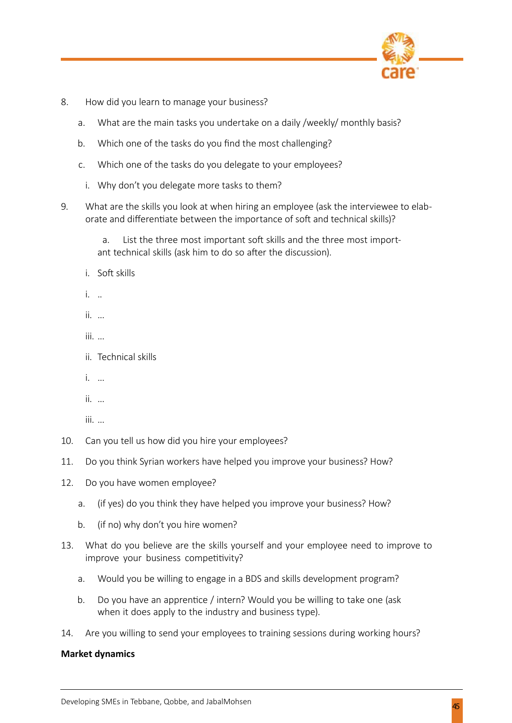

- 8. How did you learn to manage your business?
	- a. What are the main tasks you undertake on a daily /weekly/ monthly basis?
	- b. Which one of the tasks do you find the most challenging?
	- c. Which one of the tasks do you delegate to your employees?
		- i. Why don't you delegate more tasks to them?
- 9. What are the skills you look at when hiring an employee (ask the interviewee to elaborate and differentiate between the importance of soft and technical skills)?
	- a. List the three most important soft skills and the three most important technical skills (ask him to do so after the discussion).
	- i. Soft skills
	- i. ..
	- ii. …
	- iii. …
	- ii. Technical skills
	- i. …
	- ii. …
	- iii. …
- 10. Can you tell us how did you hire your employees?
- 11. Do you think Syrian workers have helped you improve your business? How?
- 12. Do you have women employee?
	- a. (if yes) do you think they have helped you improve your business? How?
	- b. (if no) why don't you hire women?
- 13. What do you believe are the skills yourself and your employee need to improve to improve your business competitivity?
	- a. Would you be willing to engage in a BDS and skills development program?
	- b. Do you have an apprentice / intern? Would you be willing to take one (ask when it does apply to the industry and business type).
- 14. Are you willing to send your employees to training sessions during working hours?

#### **Market dynamics**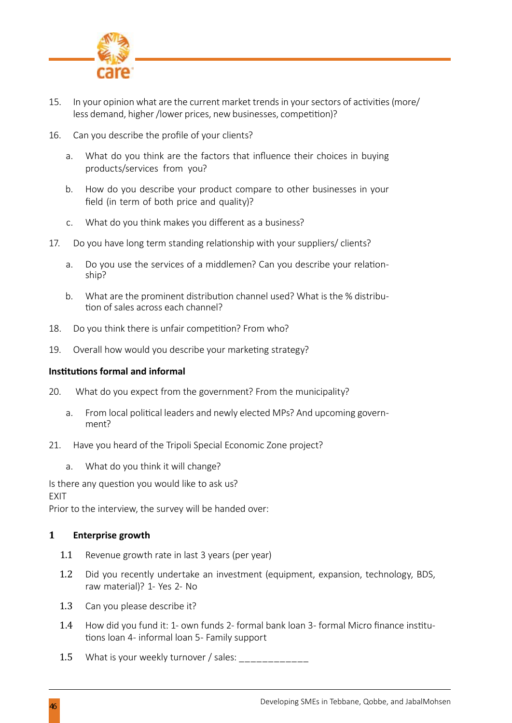

- 15. In your opinion what are the current market trends in your sectors of activities (more/ less demand, higher /lower prices, new businesses, competition)?
- 16. Can you describe the profile of your clients?
	- a. What do you think are the factors that influence their choices in buying products/services from you?
	- b. How do you describe your product compare to other businesses in your field (in term of both price and quality)?
	- c. What do you think makes you different as a business?
- 17. Do you have long term standing relationship with your suppliers/ clients?
	- a. Do you use the services of a middlemen? Can you describe your relationship?
	- b. What are the prominent distribution channel used? What is the % distribution of sales across each channel?
- 18. Do you think there is unfair competition? From who?
- 19. Overall how would you describe your marketing strategy?

#### **Institutions formal and informal**

- 20. What do you expect from the government? From the municipality?
	- a. From local political leaders and newly elected MPs? And upcoming government?
- 21. Have you heard of the Tripoli Special Economic Zone project?
	- a. What do you think it will change?

Is there any question you would like to ask us?

EXIT

Prior to the interview, the survey will be handed over:

#### **1 Enterprise growth**

- 1.1 Revenue growth rate in last 3 years (per year)
- 1.2 Did you recently undertake an investment (equipment, expansion, technology, BDS, raw material)? 1- Yes 2- No
- 1.3 Can you please describe it?
- 1.4 How did you fund it: 1- own funds 2- formal bank loan 3- formal Micro finance institutions loan 4- informal loan 5- Family support
- 1.5 What is your weekly turnover / sales: